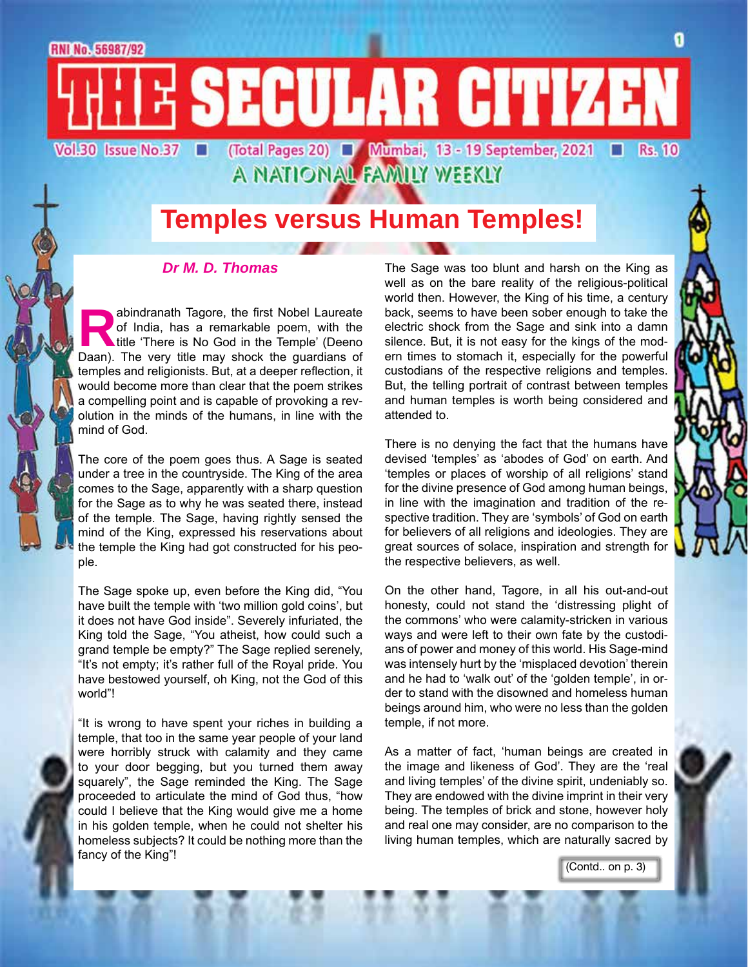RNI No. 56987/92

E SECULAR CITIZEN (Total Pages 20) ■ Mumbai, 13 - 19 September, 2021 ■ Vol.30 Issue No.37 **Rs. 10** 

A NATIONAL FAMILY WEEKLY

### **Temples versus Human Temples!**

#### *Dr M. D. Thomas*

abindranath Tagore, the first Nobel Laureate<br>of India, has a remarkable poem, with the<br>title 'There is No God in the Temple' (Deeno<br>Daan). The very title may shock the quardians of of India, has a remarkable poem, with the title 'There is No God in the Temple' (Deeno Daan). The very title may shock the guardians of temples and religionists. But, at a deeper reflection, it would become more than clear that the poem strikes a compelling point and is capable of provoking a revolution in the minds of the humans, in line with the mind of God.

The core of the poem goes thus. A Sage is seated under a tree in the countryside. The King of the area comes to the Sage, apparently with a sharp question for the Sage as to why he was seated there, instead of the temple. The Sage, having rightly sensed the mind of the King, expressed his reservations about the temple the King had got constructed for his people.

The Sage spoke up, even before the King did, "You have built the temple with 'two million gold coins', but it does not have God inside". Severely infuriated, the King told the Sage, "You atheist, how could such a grand temple be empty?" The Sage replied serenely, "It's not empty; it's rather full of the Royal pride. You have bestowed yourself, oh King, not the God of this world"!

"It is wrong to have spent your riches in building a temple, that too in the same year people of your land were horribly struck with calamity and they came to your door begging, but you turned them away squarely", the Sage reminded the King. The Sage proceeded to articulate the mind of God thus, "how could I believe that the King would give me a home in his golden temple, when he could not shelter his homeless subjects? It could be nothing more than the fancy of the King"!

The Sage was too blunt and harsh on the King as well as on the bare reality of the religious-political world then. However, the King of his time, a century back, seems to have been sober enough to take the electric shock from the Sage and sink into a damn silence. But, it is not easy for the kings of the modern times to stomach it, especially for the powerful custodians of the respective religions and temples. But, the telling portrait of contrast between temples and human temples is worth being considered and attended to.

There is no denying the fact that the humans have devised 'temples' as 'abodes of God' on earth. And 'temples or places of worship of all religions' stand for the divine presence of God among human beings, in line with the imagination and tradition of the respective tradition. They are 'symbols' of God on earth for believers of all religions and ideologies. They are great sources of solace, inspiration and strength for the respective believers, as well.

On the other hand, Tagore, in all his out-and-out honesty, could not stand the 'distressing plight of the commons' who were calamity-stricken in various ways and were left to their own fate by the custodians of power and money of this world. His Sage-mind was intensely hurt by the 'misplaced devotion' therein and he had to 'walk out' of the 'golden temple', in order to stand with the disowned and homeless human beings around him, who were no less than the golden temple, if not more.

As a matter of fact, 'human beings are created in the image and likeness of God'. They are the 'real and living temples' of the divine spirit, undeniably so. They are endowed with the divine imprint in their very being. The temples of brick and stone, however holy and real one may consider, are no comparison to the living human temples, which are naturally sacred by

(Contd.. on p. 3)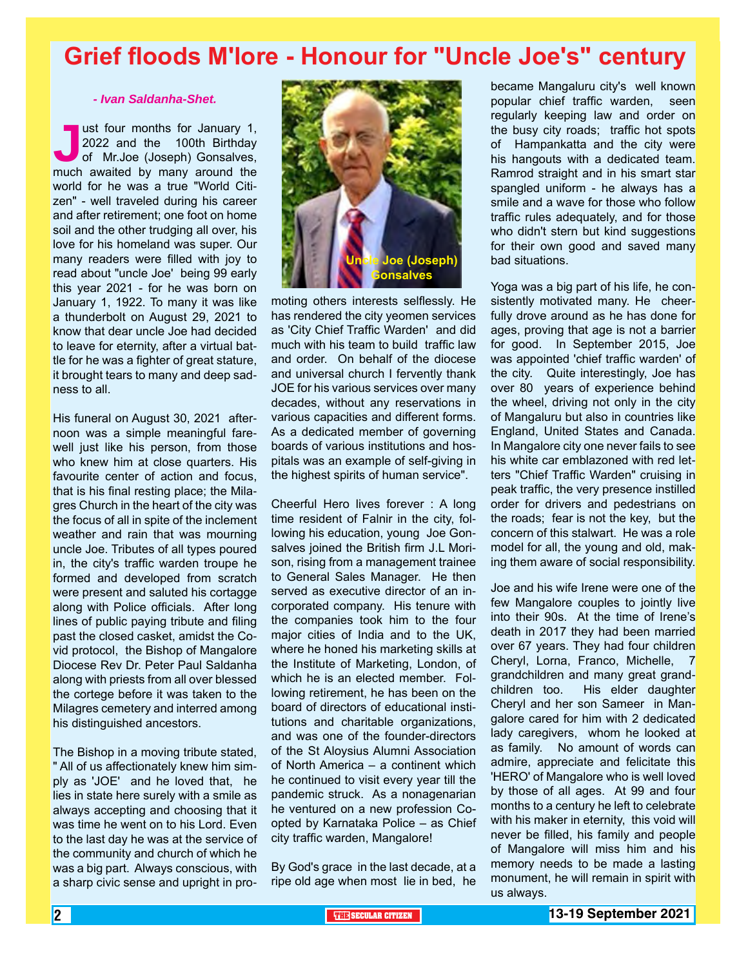### **Grief floods M'lore - Honour for "Uncle Joe's" century**

#### *- Ivan Saldanha-Shet.*

ust four months for January 1,<br>
2022 and the 100th Birthday<br>
of Mr.Joe (Joseph) Gonsalves,<br>
much awaited by many around the 2022 and the 100th Birthday of Mr.Joe (Joseph) Gonsalves, world for he was a true "World Citizen" - well traveled during his career and after retirement; one foot on home soil and the other trudging all over, his love for his homeland was super. Our many readers were filled with joy to read about "uncle Joe' being 99 early this year 2021 - for he was born on January 1, 1922. To many it was like a thunderbolt on August 29, 2021 to know that dear uncle Joe had decided to leave for eternity, after a virtual battle for he was a fighter of great stature, it brought tears to many and deep sadness to all.

His funeral on August 30, 2021 afternoon was a simple meaningful farewell just like his person, from those who knew him at close quarters. His favourite center of action and focus, that is his final resting place; the Milagres Church in the heart of the city was the focus of all in spite of the inclement weather and rain that was mourning uncle Joe. Tributes of all types poured in, the city's traffic warden troupe he formed and developed from scratch were present and saluted his cortagge along with Police officials. After long lines of public paying tribute and filing past the closed casket, amidst the Covid protocol, the Bishop of Mangalore Diocese Rev Dr. Peter Paul Saldanha along with priests from all over blessed the cortege before it was taken to the Milagres cemetery and interred among his distinguished ancestors.

The Bishop in a moving tribute stated, " All of us affectionately knew him simply as 'JOE' and he loved that, he lies in state here surely with a smile as always accepting and choosing that it was time he went on to his Lord. Even to the last day he was at the service of the community and church of which he was a big part. Always conscious, with a sharp civic sense and upright in pro-



moting others interests selflessly. He has rendered the city yeomen services as 'City Chief Traffic Warden' and did much with his team to build traffic law and order. On behalf of the diocese and universal church I fervently thank JOE for his various services over many decades, without any reservations in various capacities and different forms. As a dedicated member of governing boards of various institutions and hospitals was an example of self-giving in the highest spirits of human service".

Cheerful Hero lives forever : A long time resident of Falnir in the city, following his education, young Joe Gonsalves joined the British firm J.L Morison, rising from a management trainee to General Sales Manager. He then served as executive director of an incorporated company. His tenure with the companies took him to the four major cities of India and to the UK, where he honed his marketing skills at the Institute of Marketing, London, of which he is an elected member. Following retirement, he has been on the board of directors of educational institutions and charitable organizations, and was one of the founder-directors of the St Aloysius Alumni Association of North America – a continent which he continued to visit every year till the pandemic struck. As a nonagenarian he ventured on a new profession Coopted by Karnataka Police – as Chief city traffic warden, Mangalore!

By God's grace in the last decade, at a ripe old age when most lie in bed, he

became Mangaluru city's well known popular chief traffic warden, seen regularly keeping law and order on the busy city roads; traffic hot spots of Hampankatta and the city were his hangouts with a dedicated team. Ramrod straight and in his smart star spangled uniform - he always has a smile and a wave for those who follow traffic rules adequately, and for those who didn't stern but kind suggestions for their own good and saved many bad situations.

Yoga was a big part of his life, he consistently motivated many. He cheerfully drove around as he has done for ages, proving that age is not a barrier for good. In September 2015, Joe was appointed 'chief traffic warden' of the city. Quite interestingly, Joe has over 80 years of experience behind the wheel, driving not only in the city of Mangaluru but also in countries like England, United States and Canada. In Mangalore city one never fails to see his white car emblazoned with red letters "Chief Traffic Warden" cruising in peak traffic, the very presence instilled order for drivers and pedestrians on the roads; fear is not the key, but the concern of this stalwart. He was a role model for all, the young and old, making them aware of social responsibility.

Joe and his wife Irene were one of the few Mangalore couples to jointly live into their 90s. At the time of Irene's death in 2017 they had been married over 67 years. They had four children Cheryl, Lorna, Franco, Michelle, 7 grandchildren and many great grandchildren too. His elder daughter Cheryl and her son Sameer in Mangalore cared for him with 2 dedicated lady caregivers, whom he looked at as family. No amount of words can admire, appreciate and felicitate this 'HERO' of Mangalore who is well loved by those of all ages. At 99 and four months to a century he left to celebrate with his maker in eternity, this void will never be filled, his family and people of Mangalore will miss him and his memory needs to be made a lasting monument, he will remain in spirit with us always.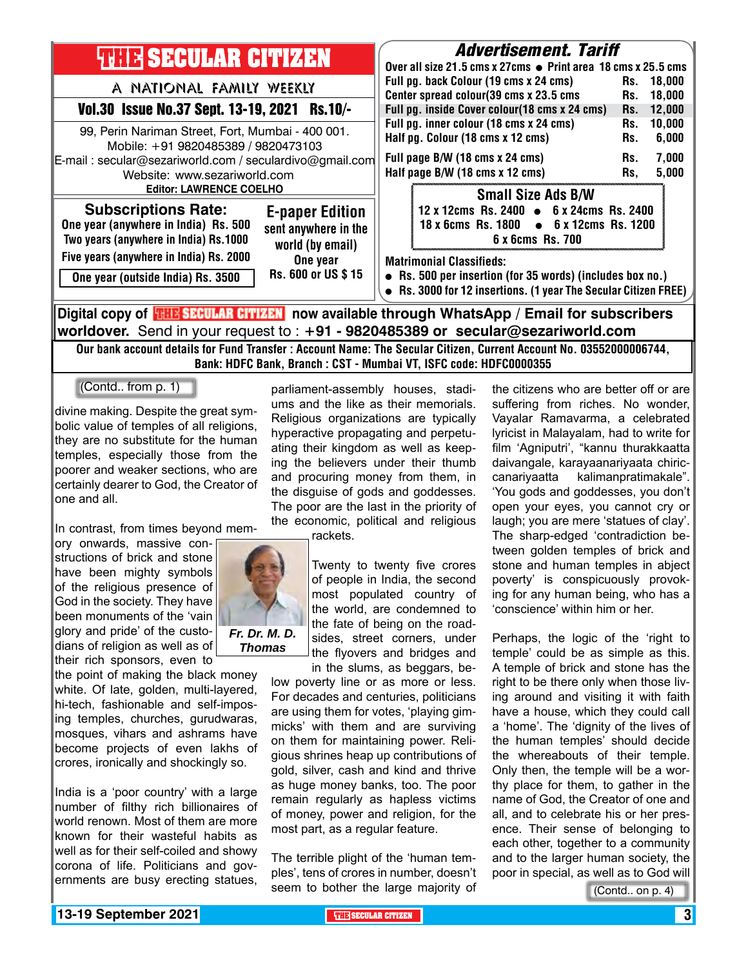| <b>THIR SECULAR CITIZEN</b>                                                                                                                                                                                           | <i><b>Advertisement. Tariff</b></i><br>Over all size 21.5 cms x 27cms ● Print area 18 cms x 25.5 cms<br>Full pg. back Colour (19 cms x 24 cms)<br>18.000<br>Rs.<br>Center spread colour(39 cms x 23.5 cms<br>Rs.<br>18.000<br>Full pg. inside Cover colour(18 cms x 24 cms)<br>12,000<br>Rs.<br>Full pg. inner colour (18 cms x 24 cms)<br>10,000<br>Rs.<br>Half pg. Colour (18 cms x 12 cms)<br>6,000<br>Rs.<br>Full page B/W (18 cms x 24 cms)<br>7,000<br>Rs.<br>Half page B/W (18 cms x 12 cms)<br>5,000<br>Rs.<br><b>Small Size Ads B/W</b> |
|-----------------------------------------------------------------------------------------------------------------------------------------------------------------------------------------------------------------------|--------------------------------------------------------------------------------------------------------------------------------------------------------------------------------------------------------------------------------------------------------------------------------------------------------------------------------------------------------------------------------------------------------------------------------------------------------------------------------------------------------------------------------------------------|
| A NATIONAL FAMILY WEEKLY<br>Vol.30 Issue No.37 Sept. 13-19, 2021 Rs.10/-                                                                                                                                              |                                                                                                                                                                                                                                                                                                                                                                                                                                                                                                                                                  |
| 99, Perin Nariman Street, Fort, Mumbai - 400 001.<br>Mobile: +91 9820485389 / 9820473103<br>E-mail: secular@sezariworld.com / seculardivo@gmail.com<br>Website: www.sezariworld.com<br><b>Editor: LAWRENCE COELHO</b> |                                                                                                                                                                                                                                                                                                                                                                                                                                                                                                                                                  |
| <b>Subscriptions Rate:</b><br><b>E-paper Edition</b><br>One year (anywhere in India) Rs. 500<br>sent anywhere in the<br>Two years (anywhere in India) Rs.1000<br>world (by email)                                     | 12 x 12cms Rs. 2400 • 6 x 24cms Rs. 2400<br>18 x 6cms Rs. 1800 • 6 x 12cms Rs. 1200<br>6 x 6cms Rs. 700                                                                                                                                                                                                                                                                                                                                                                                                                                          |
| Five years (anywhere in India) Rs. 2000<br>One year<br>Rs. 600 or US \$15<br>One year (outside India) Rs. 3500                                                                                                        | <b>Matrimonial Classifieds:</b><br>• Rs. 500 per insertion (for 35 words) (includes box no.)<br>• Rs. 3000 for 12 insertions. (1 year The Secular Citizen FREE)                                                                                                                                                                                                                                                                                                                                                                                  |
| Digital copy of <mark>珊路SECULAR CITIZEN</mark> now available through WhatsApp / Email for subscribers                                                                                                                 |                                                                                                                                                                                                                                                                                                                                                                                                                                                                                                                                                  |

**worldover.** Send in your request to : **+91 - 9820485389 or secular@sezariworld.com** Our bank account details for Fund Transfer : Account Name: The Secular Citizen, Current Account No. 03552000006744,

Bank: HDFC Bank, Branch : CST - Mumbai VT, ISFC code: HDFC0000355

(Contd.. from p. 1)

divine making. Despite the great symbolic value of temples of all religions, they are no substitute for the human temples, especially those from the poorer and weaker sections, who are certainly dearer to God, the Creator of one and all.

In contrast, from times beyond mem-

ory onwards, massive constructions of brick and stone have been mighty symbols of the religious presence of God in the society. They have been monuments of the 'vain glory and pride' of the custodians of religion as well as of their rich sponsors, even to

the point of making the black money white. Of late, golden, multi-layered, hi-tech, fashionable and self-imposing temples, churches, gurudwaras, mosques, vihars and ashrams have become projects of even lakhs of crores, ironically and shockingly so.

India is a 'poor country' with a large number of filthy rich billionaires of world renown. Most of them are more known for their wasteful habits as well as for their self-coiled and showy corona of life. Politicians and governments are busy erecting statues,

parliament-assembly houses, stadiums and the like as their memorials. Religious organizations are typically hyperactive propagating and perpetuating their kingdom as well as keeping the believers under their thumb and procuring money from them, in the disguise of gods and goddesses. The poor are the last in the priority of the economic, political and religious

rackets.

Twenty to twenty five crores of people in India, the second most populated country of the world, are condemned to the fate of being on the roadsides, street corners, under the flyovers and bridges and

in the slums, as beggars, below poverty line or as more or less. For decades and centuries, politicians are using them for votes, 'playing gimmicks' with them and are surviving on them for maintaining power. Religious shrines heap up contributions of gold, silver, cash and kind and thrive as huge money banks, too. The poor remain regularly as hapless victims of money, power and religion, for the most part, as a regular feature.

The terrible plight of the 'human temples', tens of crores in number, doesn't seem to bother the large majority of the citizens who are better off or are suffering from riches. No wonder, Vayalar Ramavarma, a celebrated lyricist in Malayalam, had to write for film 'Agniputri', "kannu thurakkaatta daivangale, karayaanariyaata chiriccanariyaatta kalimanpratimakale". 'You gods and goddesses, you don't open your eyes, you cannot cry or laugh; you are mere 'statues of clay'. The sharp-edged 'contradiction between golden temples of brick and stone and human temples in abject poverty' is conspicuously provoking for any human being, who has a 'conscience' within him or her.

Perhaps, the logic of the 'right to temple' could be as simple as this. A temple of brick and stone has the right to be there only when those living around and visiting it with faith have a house, which they could call a 'home'. The 'dignity of the lives of the human temples' should decide the whereabouts of their temple. Only then, the temple will be a worthy place for them, to gather in the name of God, the Creator of one and all, and to celebrate his or her presence. Their sense of belonging to each other, together to a community and to the larger human society, the poor in special, as well as to God will

(Contd.. on p. 4)

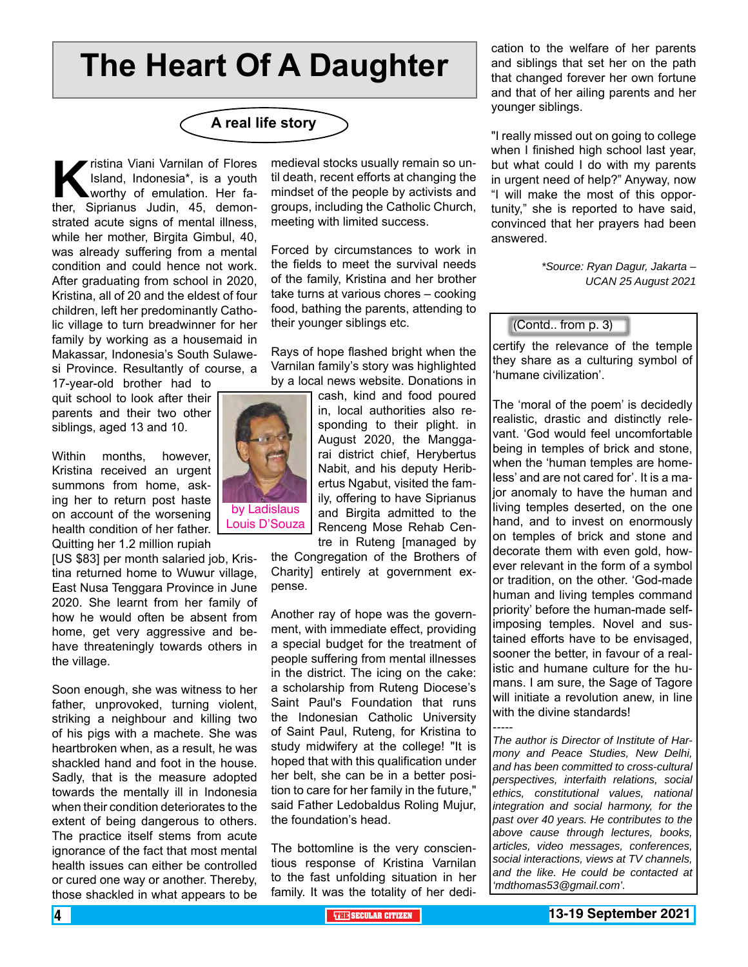## **The Heart Of A Daughter**



**K**ristina Viani Varnilan of Flores<br>Island, Indonesia\*, is a youth<br>worthy of emulation. Her fa-<br>ther. Siprianus Judin. 45. demon-Island, Indonesia\*, is a youth worthy of emulation. Her father, Siprianus Judin, 45, demonstrated acute signs of mental illness, while her mother, Birgita Gimbul, 40, was already suffering from a mental condition and could hence not work. After graduating from school in 2020, Kristina, all of 20 and the eldest of four children, left her predominantly Catholic village to turn breadwinner for her family by working as a housemaid in Makassar, Indonesia's South Sulawesi Province. Resultantly of course, a

17-year-old brother had to quit school to look after their parents and their two other siblings, aged 13 and 10.

Within months, however, Kristina received an urgent summons from home, asking her to return post haste on account of the worsening health condition of her father. Quitting her 1.2 million rupiah

[US \$83] per month salaried job, Kristina returned home to Wuwur village, East Nusa Tenggara Province in June 2020. She learnt from her family of how he would often be absent from home, get very aggressive and behave threateningly towards others in the village.

Soon enough, she was witness to her father, unprovoked, turning violent, striking a neighbour and killing two of his pigs with a machete. She was heartbroken when, as a result, he was shackled hand and foot in the house. Sadly, that is the measure adopted towards the mentally ill in Indonesia when their condition deteriorates to the extent of being dangerous to others. The practice itself stems from acute ignorance of the fact that most mental health issues can either be controlled or cured one way or another. Thereby, those shackled in what appears to be

medieval stocks usually remain so until death, recent efforts at changing the mindset of the people by activists and groups, including the Catholic Church, meeting with limited success.

Forced by circumstances to work in the fields to meet the survival needs of the family, Kristina and her brother take turns at various chores – cooking food, bathing the parents, attending to their younger siblings etc.

Rays of hope flashed bright when the Varnilan family's story was highlighted by a local news website. Donations in

> cash, kind and food poured in, local authorities also responding to their plight. in August 2020, the Manggarai district chief, Herybertus Nabit, and his deputy Heribertus Ngabut, visited the family, offering to have Siprianus and Birgita admitted to the Renceng Mose Rehab Centre in Ruteng [managed by

the Congregation of the Brothers of Charity] entirely at government expense.

Another ray of hope was the government, with immediate effect, providing a special budget for the treatment of people suffering from mental illnesses in the district. The icing on the cake: a scholarship from Ruteng Diocese's Saint Paul's Foundation that runs the Indonesian Catholic University of Saint Paul, Ruteng, for Kristina to study midwifery at the college! "It is hoped that with this qualification under her belt, she can be in a better position to care for her family in the future," said Father Ledobaldus Roling Mujur, the foundation's head.

The bottomline is the very conscientious response of Kristina Varnilan to the fast unfolding situation in her family. It was the totality of her dedication to the welfare of her parents and siblings that set her on the path that changed forever her own fortune and that of her ailing parents and her younger siblings.

"I really missed out on going to college when I finished high school last year, but what could I do with my parents in urgent need of help?" Anyway, now "I will make the most of this opportunity," she is reported to have said, convinced that her prayers had been answered.

> *\*Source: Ryan Dagur, Jakarta – UCAN 25 August 2021*

#### (Contd.. from p. 3)

certify the relevance of the temple they share as a culturing symbol of 'humane civilization'.

The 'moral of the poem' is decidedly realistic, drastic and distinctly relevant. 'God would feel uncomfortable being in temples of brick and stone, when the 'human temples are homeless' and are not cared for'. It is a major anomaly to have the human and living temples deserted, on the one hand, and to invest on enormously on temples of brick and stone and decorate them with even gold, however relevant in the form of a symbol or tradition, on the other. 'God-made human and living temples command priority' before the human-made selfimposing temples. Novel and sustained efforts have to be envisaged, sooner the better, in favour of a realistic and humane culture for the humans. I am sure, the Sage of Tagore will initiate a revolution anew, in line with the divine standards!

----- *The author is Director of Institute of Harmony and Peace Studies, New Delhi, and has been committed to cross-cultural perspectives, interfaith relations, social ethics, constitutional values, national integration and social harmony, for the past over 40 years. He contributes to the above cause through lectures, books, articles, video messages, conferences, social interactions, views at TV channels, and the like. He could be contacted at 'mdthomas53@gmail.com'.* 

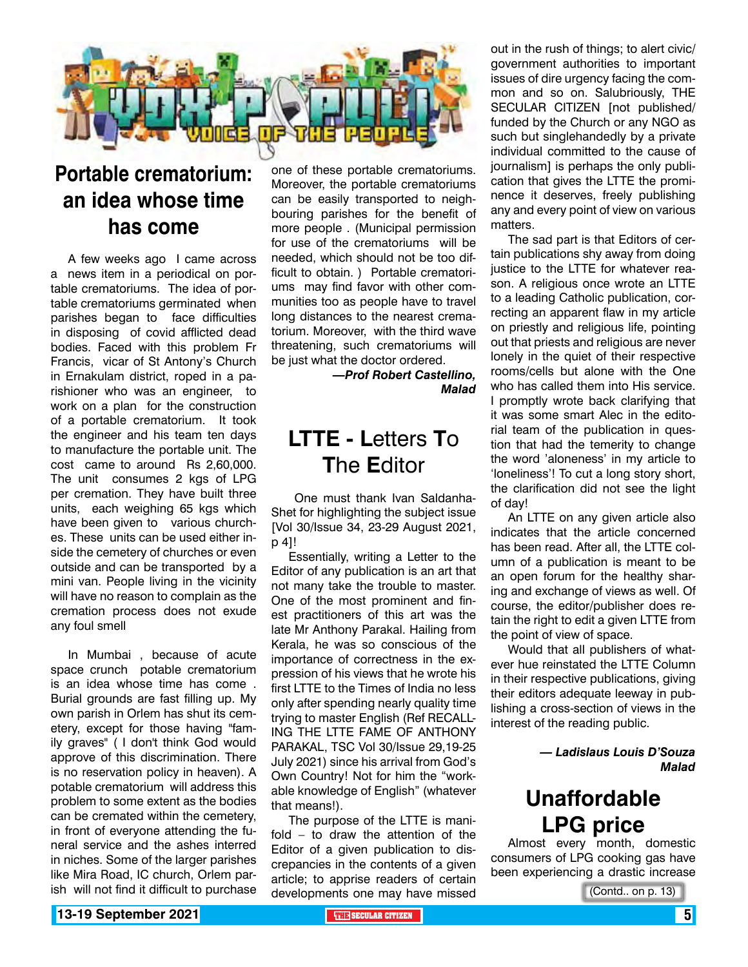

### **Portable crematorium: an idea whose time has come**

A few weeks ago I came across a news item in a periodical on portable crematoriums. The idea of portable crematoriums germinated when parishes began to face difficulties in disposing of covid afflicted dead bodies. Faced with this problem Fr Francis, vicar of St Antony's Church in Ernakulam district, roped in a parishioner who was an engineer, to work on a plan for the construction of a portable crematorium. It took the engineer and his team ten days to manufacture the portable unit. The cost came to around Rs 2,60,000. The unit consumes 2 kgs of LPG per cremation. They have built three units, each weighing 65 kgs which have been given to various churches. These units can be used either inside the cemetery of churches or even outside and can be transported by a mini van. People living in the vicinity will have no reason to complain as the cremation process does not exude any foul smell

In Mumbai , because of acute space crunch potable crematorium is an idea whose time has come . Burial grounds are fast filling up. My own parish in Orlem has shut its cemetery, except for those having "family graves" ( I don't think God would approve of this discrimination. There is no reservation policy in heaven). A potable crematorium will address this problem to some extent as the bodies can be cremated within the cemetery, in front of everyone attending the funeral service and the ashes interred in niches. Some of the larger parishes like Mira Road, IC church, Orlem parish will not find it difficult to purchase

one of these portable crematoriums. Moreover, the portable crematoriums can be easily transported to neighbouring parishes for the benefit of more people . (Municipal permission for use of the crematoriums will be needed, which should not be too difficult to obtain. ) Portable crematoriums may find favor with other communities too as people have to travel long distances to the nearest crematorium. Moreover, with the third wave threatening, such crematoriums will be just what the doctor ordered.

> *—Prof Robert Castellino, Malad*

### **LTTE - L**etters **T**o **T**he **E**ditor

 One must thank Ivan Saldanha-Shet for highlighting the subject issue [Vol 30/Issue 34, 23-29 August 2021, p 4]!

Essentially, writing a Letter to the Editor of any publication is an art that not many take the trouble to master. One of the most prominent and finest practitioners of this art was the late Mr Anthony Parakal. Hailing from Kerala, he was so conscious of the importance of correctness in the expression of his views that he wrote his first LTTE to the Times of India no less only after spending nearly quality time trying to master English (Ref RECALL-ING THE LTTE FAME OF ANTHONY PARAKAL, TSC Vol 30/Issue 29,19-25 July 2021) since his arrival from God's Own Country! Not for him the "workable knowledge of English" (whatever that means!).

The purpose of the LTTE is manifold – to draw the attention of the Editor of a given publication to discrepancies in the contents of a given article; to apprise readers of certain developments one may have missed

out in the rush of things; to alert civic/ government authorities to important issues of dire urgency facing the common and so on. Salubriously, THE SECULAR CITIZEN [not published/ funded by the Church or any NGO as such but singlehandedly by a private individual committed to the cause of journalism] is perhaps the only publication that gives the LTTE the prominence it deserves, freely publishing any and every point of view on various matters.

The sad part is that Editors of certain publications shy away from doing justice to the LTTE for whatever reason. A religious once wrote an LTTE to a leading Catholic publication, correcting an apparent flaw in my article on priestly and religious life, pointing out that priests and religious are never lonely in the quiet of their respective rooms/cells but alone with the One who has called them into His service. I promptly wrote back clarifying that it was some smart Alec in the editorial team of the publication in question that had the temerity to change the word 'aloneness' in my article to 'loneliness'! To cut a long story short, the clarification did not see the light of day!

An LTTE on any given article also indicates that the article concerned has been read. After all, the LTTE column of a publication is meant to be an open forum for the healthy sharing and exchange of views as well. Of course, the editor/publisher does retain the right to edit a given LTTE from the point of view of space.

Would that all publishers of whatever hue reinstated the LTTE Column in their respective publications, giving their editors adequate leeway in publishing a cross-section of views in the interest of the reading public.

> *— Ladislaus Louis D'Souza Malad*

### **Unaffordable LPG price**

Almost every month, domestic consumers of LPG cooking gas have been experiencing a drastic increase

(Contd.. on p. 13)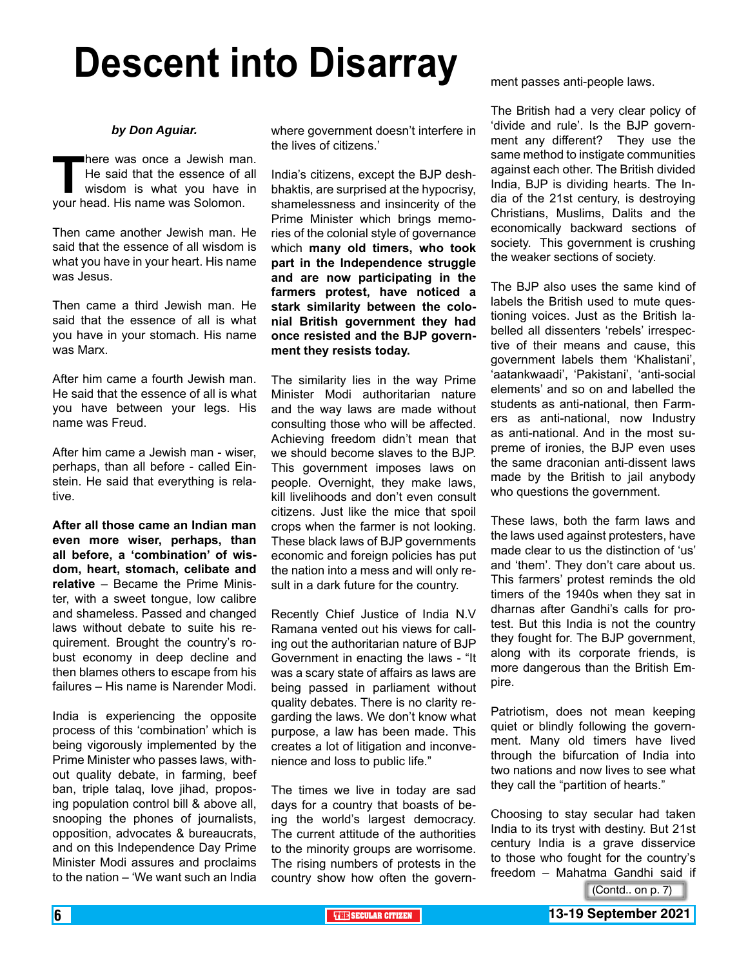# **Descent into Disarray**

#### *by Don Aguiar.*

**There was once a Jewish man.**<br>
He said that the essence of all<br>
wisdom is what you have in<br>
your head. His name was Solomon. He said that the essence of all wisdom is what you have in your head. His name was Solomon.

Then came another Jewish man. He said that the essence of all wisdom is what you have in your heart. His name was Jesus.

Then came a third Jewish man. He said that the essence of all is what you have in your stomach. His name was Marx.

After him came a fourth Jewish man. He said that the essence of all is what you have between your legs. His name was Freud.

After him came a Jewish man - wiser, perhaps, than all before - called Einstein. He said that everything is relative.

**After all those came an Indian man even more wiser, perhaps, than all before, a 'combination' of wisdom, heart, stomach, celibate and relative** – Became the Prime Minister, with a sweet tongue, low calibre and shameless. Passed and changed laws without debate to suite his requirement. Brought the country's robust economy in deep decline and then blames others to escape from his failures – His name is Narender Modi.

India is experiencing the opposite process of this 'combination' which is being vigorously implemented by the Prime Minister who passes laws, without quality debate, in farming, beef ban, triple talaq, love jihad, proposing population control bill & above all, snooping the phones of journalists, opposition, advocates & bureaucrats, and on this Independence Day Prime Minister Modi assures and proclaims to the nation – 'We want such an India

where government doesn't interfere in the lives of citizens.'

India's citizens, except the BJP deshbhaktis, are surprised at the hypocrisy, shamelessness and insincerity of the Prime Minister which brings memories of the colonial style of governance which **many old timers, who took part in the Independence struggle and are now participating in the farmers protest, have noticed a stark similarity between the colonial British government they had once resisted and the BJP government they resists today.**

The similarity lies in the way Prime Minister Modi authoritarian nature and the way laws are made without consulting those who will be affected. Achieving freedom didn't mean that we should become slaves to the BJP. This government imposes laws on people. Overnight, they make laws, kill livelihoods and don't even consult citizens. Just like the mice that spoil crops when the farmer is not looking. These black laws of BJP governments economic and foreign policies has put the nation into a mess and will only result in a dark future for the country.

Recently Chief Justice of India N.V Ramana vented out his views for calling out the authoritarian nature of BJP Government in enacting the laws - "It was a scary state of affairs as laws are being passed in parliament without quality debates. There is no clarity regarding the laws. We don't know what purpose, a law has been made. This creates a lot of litigation and inconvenience and loss to public life."

The times we live in today are sad days for a country that boasts of being the world's largest democracy. The current attitude of the authorities to the minority groups are worrisome. The rising numbers of protests in the country show how often the government passes anti-people laws.

The British had a very clear policy of 'divide and rule'. Is the BJP government any different? They use the same method to instigate communities against each other. The British divided India, BJP is dividing hearts. The India of the 21st century, is destroying Christians, Muslims, Dalits and the economically backward sections of society. This government is crushing the weaker sections of society.

The BJP also uses the same kind of labels the British used to mute questioning voices. Just as the British labelled all dissenters 'rebels' irrespective of their means and cause, this government labels them 'Khalistani', 'aatankwaadi', 'Pakistani', 'anti-social elements' and so on and labelled the students as anti-national, then Farmers as anti-national, now Industry as anti-national. And in the most supreme of ironies, the BJP even uses the same draconian anti-dissent laws made by the British to jail anybody who questions the government.

These laws, both the farm laws and the laws used against protesters, have made clear to us the distinction of 'us' and 'them'. They don't care about us. This farmers' protest reminds the old timers of the 1940s when they sat in dharnas after Gandhi's calls for protest. But this India is not the country they fought for. The BJP government, along with its corporate friends, is more dangerous than the British Empire.

Patriotism, does not mean keeping quiet or blindly following the government. Many old timers have lived through the bifurcation of India into two nations and now lives to see what they call the "partition of hearts."

Choosing to stay secular had taken India to its tryst with destiny. But 21st century India is a grave disservice to those who fought for the country's freedom – Mahatma Gandhi said if

(Contd.. on p. 7)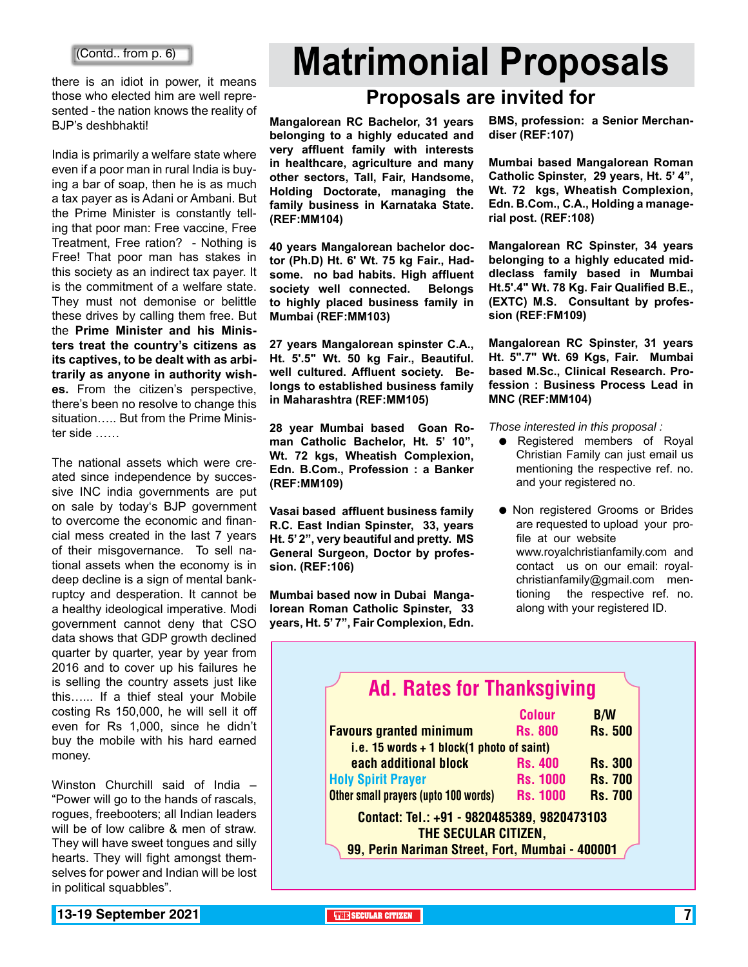there is an idiot in power, it means those who elected him are well represented - the nation knows the reality of BJP's deshbhakti!

India is primarily a welfare state where even if a poor man in rural India is buying a bar of soap, then he is as much a tax payer as is Adani or Ambani. But the Prime Minister is constantly telling that poor man: Free vaccine, Free Treatment, Free ration? - Nothing is Free! That poor man has stakes in this society as an indirect tax payer. It is the commitment of a welfare state. They must not demonise or belittle these drives by calling them free. But the **Prime Minister and his Ministers treat the country's citizens as its captives, to be dealt with as arbitrarily as anyone in authority wishes.** From the citizen's perspective, there's been no resolve to change this situation….. But from the Prime Minister side ……

The national assets which were created since independence by successive INC india governments are put on sale by today's BJP government to overcome the economic and financial mess created in the last 7 years of their misgovernance. To sell national assets when the economy is in deep decline is a sign of mental bankruptcy and desperation. It cannot be a healthy ideological imperative. Modi government cannot deny that CSO data shows that GDP growth declined quarter by quarter, year by year from 2016 and to cover up his failures he is selling the country assets just like this…... If a thief steal your Mobile costing Rs 150,000, he will sell it off even for Rs 1,000, since he didn't buy the mobile with his hard earned money.

Winston Churchill said of India – "Power will go to the hands of rascals, rogues, freebooters; all Indian leaders will be of low calibre & men of straw. They will have sweet tongues and silly hearts. They will fight amongst themselves for power and Indian will be lost in political squabbles".

# **Matrimonial Proposals**

### **Proposals are invited for**

**Mangalorean RC Bachelor, 31 years belonging to a highly educated and very affluent family with interests in healthcare, agriculture and many other sectors, Tall, Fair, Handsome, Holding Doctorate, managing the family business in Karnataka State. (REF:MM104)**

**40 years Mangalorean bachelor doctor (Ph.D) Ht. 6' Wt. 75 kg Fair., Hadsome. no bad habits. High affluent society well connected. Belongs to highly placed business family in Mumbai (REF:MM103)**

**27 years Mangalorean spinster C.A., Ht. 5'.5" Wt. 50 kg Fair., Beautiful. well cultured. Affluent society. Belongs to established business family in Maharashtra (REF:MM105)**

**28 year Mumbai based Goan Roman Catholic Bachelor, Ht. 5' 10", Wt. 72 kgs, Wheatish Complexion, Edn. B.Com., Profession : a Banker (REF:MM109)**

**Vasai based affluent business family R.C. East Indian Spinster, 33, years Ht. 5' 2", very beautiful and pretty. MS General Surgeon, Doctor by profession. (REF:106)**

**Mumbai based now in Dubai Mangalorean Roman Catholic Spinster, 33 years, Ht. 5' 7", Fair Complexion, Edn.**  **BMS, profession: a Senior Merchandiser (REF:107)**

**Mumbai based Mangalorean Roman Catholic Spinster, 29 years, Ht. 5' 4", Wt. 72 kgs, Wheatish Complexion, Edn. B.Com., C.A., Holding a managerial post. (REF:108)** 

**Mangalorean RC Spinster, 34 years belonging to a highly educated middleclass family based in Mumbai Ht.5'.4" Wt. 78 Kg. Fair Qualified B.E., (EXTC) M.S. Consultant by profession (REF:FM109)**

**Mangalorean RC Spinster, 31 years Ht. 5".7" Wt. 69 Kgs, Fair. Mumbai based M.Sc., Clinical Research. Profession : Business Process Lead in MNC (REF:MM104)**

*Those interested in this proposal :*

- Registered members of Royal Christian Family can just email us mentioning the respective ref. no. and your registered no.
- $\bullet$  Non registered Grooms or Brides are requested to upload your profile at our website www.royalchristianfamily.com and contact us on our email: royalchristianfamily@gmail.com mentioning the respective ref. no. along with your registered ID.

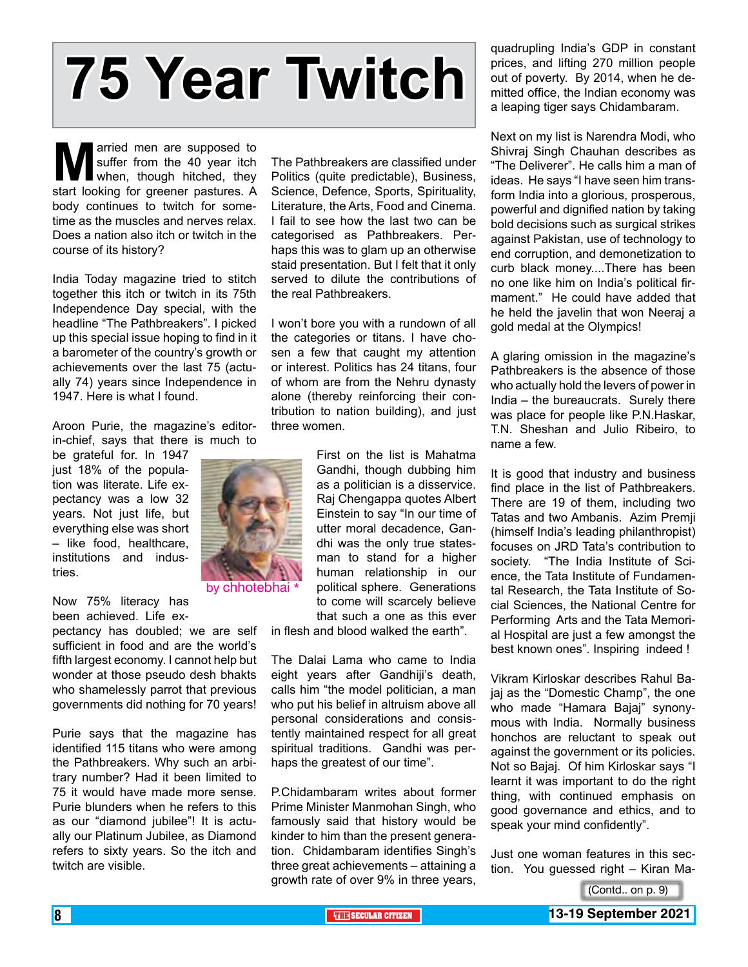# **75 Year Twitch**

**Married men are supposed to** suffer from the 40 year itch when, though hitched, they start looking for greener pastures. A suffer from the 40 year itch when, though hitched, they body continues to twitch for sometime as the muscles and nerves relax. Does a nation also itch or twitch in the course of its history?

India Today magazine tried to stitch together this itch or twitch in its 75th Independence Day special, with the headline "The Pathbreakers". I picked up this special issue hoping to find in it a barometer of the country's growth or achievements over the last 75 (actually 74) years since Independence in 1947. Here is what I found.

Aroon Purie, the magazine's editorin-chief, says that there is much to

be grateful for. In 1947 just 18% of the population was literate. Life expectancy was a low 32 years. Not just life, but everything else was short – like food, healthcare, institutions and industries.

Now 75% literacy has been achieved. Life ex-

pectancy has doubled; we are self sufficient in food and are the world's fifth largest economy. I cannot help but wonder at those pseudo desh bhakts who shamelessly parrot that previous governments did nothing for 70 years!

Purie says that the magazine has identified 115 titans who were among the Pathbreakers. Why such an arbitrary number? Had it been limited to 75 it would have made more sense. Purie blunders when he refers to this as our "diamond jubilee"! It is actually our Platinum Jubilee, as Diamond refers to sixty years. So the itch and twitch are visible.

The Pathbreakers are classified under Politics (quite predictable), Business, Science, Defence, Sports, Spirituality, Literature, the Arts, Food and Cinema. I fail to see how the last two can be categorised as Pathbreakers. Perhaps this was to glam up an otherwise staid presentation. But I felt that it only served to dilute the contributions of the real Pathbreakers.

I won't bore you with a rundown of all the categories or titans. I have chosen a few that caught my attention or interest. Politics has 24 titans, four of whom are from the Nehru dynasty alone (thereby reinforcing their contribution to nation building), and just three women.

> First on the list is Mahatma Gandhi, though dubbing him as a politician is a disservice. Raj Chengappa quotes Albert Einstein to say "In our time of utter moral decadence, Gandhi was the only true statesman to stand for a higher human relationship in our political sphere. Generations to come will scarcely believe that such a one as this ever

in flesh and blood walked the earth".

The Dalai Lama who came to India eight years after Gandhiji's death, calls him "the model politician, a man who put his belief in altruism above all personal considerations and consistently maintained respect for all great spiritual traditions. Gandhi was perhaps the greatest of our time".

P.Chidambaram writes about former Prime Minister Manmohan Singh, who famously said that history would be kinder to him than the present generation. Chidambaram identifies Singh's three great achievements – attaining a growth rate of over 9% in three years,

quadrupling India's GDP in constant prices, and lifting 270 million people out of poverty. By 2014, when he demitted office, the Indian economy was a leaping tiger says Chidambaram.

Next on my list is Narendra Modi, who Shivraj Singh Chauhan describes as "The Deliverer". He calls him a man of ideas. He says "I have seen him transform India into a glorious, prosperous, powerful and dignified nation by taking bold decisions such as surgical strikes against Pakistan, use of technology to end corruption, and demonetization to curb black money....There has been no one like him on India's political firmament." He could have added that he held the javelin that won Neeraj a gold medal at the Olympics!

A glaring omission in the magazine's Pathbreakers is the absence of those who actually hold the levers of power in India – the bureaucrats. Surely there was place for people like P.N.Haskar, T.N. Sheshan and Julio Ribeiro, to name a few.

It is good that industry and business find place in the list of Pathbreakers. There are 19 of them, including two Tatas and two Ambanis. Azim Premji (himself India's leading philanthropist) focuses on JRD Tata's contribution to society. "The India Institute of Science, the Tata Institute of Fundamental Research, the Tata Institute of Social Sciences, the National Centre for Performing Arts and the Tata Memorial Hospital are just a few amongst the best known ones". Inspiring indeed !

Vikram Kirloskar describes Rahul Bajaj as the "Domestic Champ", the one who made "Hamara Bajaj" synonymous with India. Normally business honchos are reluctant to speak out against the government or its policies. Not so Bajaj. Of him Kirloskar says "I learnt it was important to do the right thing, with continued emphasis on good governance and ethics, and to speak your mind confidently".

Just one woman features in this section. You guessed right – Kiran Ma-

(Contd.. on p. 9)



#### 8 **THE SECULAR CITIZEN 13-19 September 2021**

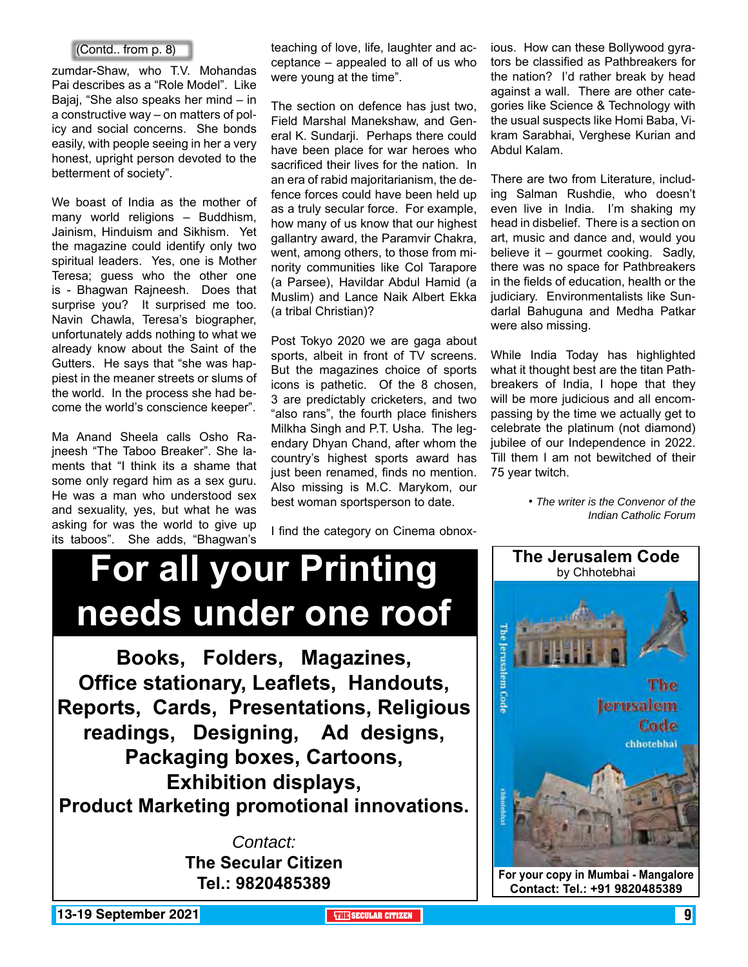zumdar-Shaw, who T.V. Mohandas Pai describes as a "Role Model". Like Bajaj, "She also speaks her mind – in a constructive way – on matters of policy and social concerns. She bonds easily, with people seeing in her a very honest, upright person devoted to the betterment of society".

We boast of India as the mother of many world religions – Buddhism, Jainism, Hinduism and Sikhism. Yet the magazine could identify only two spiritual leaders. Yes, one is Mother Teresa; guess who the other one is - Bhagwan Rajneesh. Does that surprise you? It surprised me too. Navin Chawla, Teresa's biographer, unfortunately adds nothing to what we already know about the Saint of the Gutters. He says that "she was happiest in the meaner streets or slums of the world. In the process she had become the world's conscience keeper".

Ma Anand Sheela calls Osho Rajneesh "The Taboo Breaker". She laments that "I think its a shame that some only regard him as a sex guru. He was a man who understood sex and sexuality, yes, but what he was asking for was the world to give up its taboos". She adds, "Bhagwan's

(Contd.. from p. 8) **induce** teaching of love, life, laughter and ac- ious. How can these Bollywood gyraceptance – appealed to all of us who were young at the time".

> The section on defence has just two, Field Marshal Manekshaw, and General K. Sundarji. Perhaps there could have been place for war heroes who sacrificed their lives for the nation. In an era of rabid majoritarianism, the defence forces could have been held up as a truly secular force. For example, how many of us know that our highest gallantry award, the Paramvir Chakra, went, among others, to those from minority communities like Col Tarapore (a Parsee), Havildar Abdul Hamid (a Muslim) and Lance Naik Albert Ekka (a tribal Christian)?

> Post Tokyo 2020 we are gaga about sports, albeit in front of TV screens. But the magazines choice of sports icons is pathetic. Of the 8 chosen, 3 are predictably cricketers, and two "also rans", the fourth place finishers Milkha Singh and P.T. Usha. The legendary Dhyan Chand, after whom the country's highest sports award has just been renamed, finds no mention. Also missing is M.C. Marykom, our best woman sportsperson to date.

I find the category on Cinema obnox-

tors be classified as Pathbreakers for the nation? I'd rather break by head against a wall. There are other categories like Science & Technology with the usual suspects like Homi Baba, Vikram Sarabhai, Verghese Kurian and Abdul Kalam.

There are two from Literature, including Salman Rushdie, who doesn't even live in India. I'm shaking my head in disbelief. There is a section on art, music and dance and, would you believe it – gourmet cooking. Sadly, there was no space for Pathbreakers in the fields of education, health or the judiciary. Environmentalists like Sundarlal Bahuguna and Medha Patkar were also missing.

While India Today has highlighted what it thought best are the titan Pathbreakers of India, I hope that they will be more judicious and all encompassing by the time we actually get to celebrate the platinum (not diamond) jubilee of our Independence in 2022. Till them I am not bewitched of their 75 year twitch.

> • *The writer is the Convenor of the Indian Catholic Forum*

# **For all your Printing Interusalem Code needs under one roof**

**Books, Folders, Magazines, Office stationary, Leaflets, Handouts, Reports, Cards, Presentations, Religious readings, Designing, Ad designs, Packaging boxes, Cartoons, Exhibition displays, Product Marketing promotional innovations.**

> *Contact:* **The Secular Citizen Tel.: 9820485389**



**13-19 September 2021 THE THE THE SECULAR CITIZEN THE THE SECULAR CITIZEN**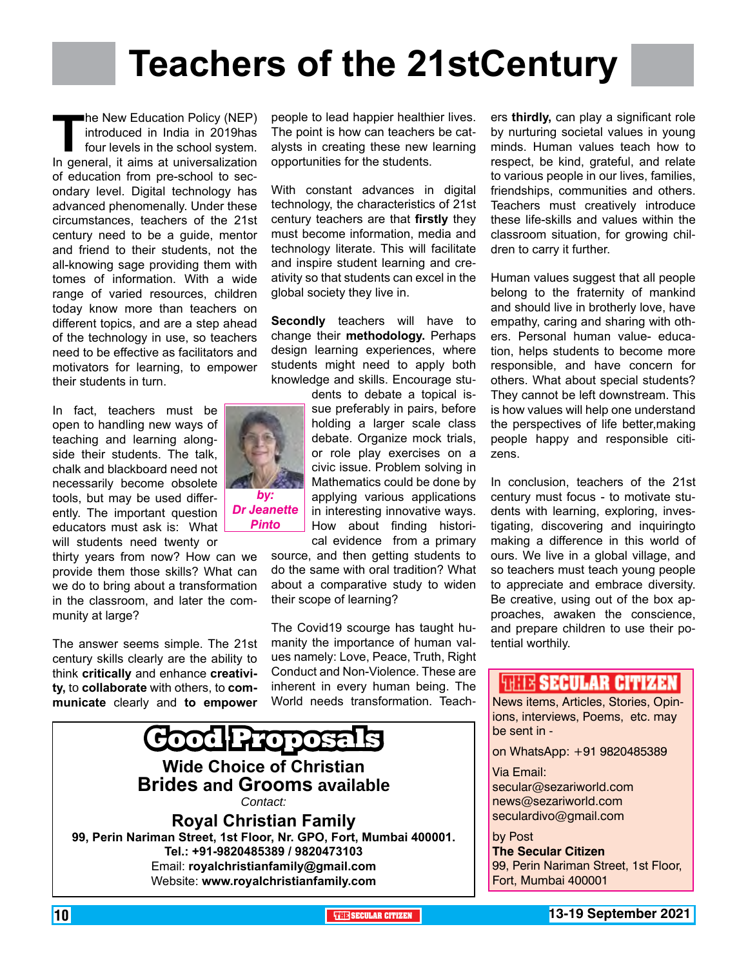# **Teachers of the 21stCentury**

**The New Education Policy (NEP)**<br>
introduced in India in 2019 has<br>
four levels in the school system.<br>
In general, it aims at universalization introduced in India in 2019has four levels in the school system. of education from pre-school to secondary level. Digital technology has advanced phenomenally. Under these circumstances, teachers of the 21st century need to be a guide, mentor and friend to their students, not the all-knowing sage providing them with tomes of information. With a wide range of varied resources, children today know more than teachers on different topics, and are a step ahead of the technology in use, so teachers need to be effective as facilitators and motivators for learning, to empower their students in turn.

In fact, teachers must be open to handling new ways of teaching and learning alongside their students. The talk, chalk and blackboard need not necessarily become obsolete tools, but may be used differently. The important question educators must ask is: What will students need twenty or

thirty years from now? How can we provide them those skills? What can we do to bring about a transformation in the classroom, and later the community at large?

The answer seems simple. The 21st century skills clearly are the ability to think **critically** and enhance **creativity,** to **collaborate** with others, to **communicate** clearly and **to empower** 



people to lead happier healthier lives. The point is how can teachers be catalysts in creating these new learning opportunities for the students.

With constant advances in digital technology, the characteristics of 21st century teachers are that **firstly** they must become information, media and technology literate. This will facilitate and inspire student learning and creativity so that students can excel in the global society they live in.

**Secondly** teachers will have to change their **methodology.** Perhaps design learning experiences, where students might need to apply both knowledge and skills. Encourage stu-

dents to debate a topical issue preferably in pairs, before holding a larger scale class debate. Organize mock trials. or role play exercises on a civic issue. Problem solving in Mathematics could be done by applying various applications in interesting innovative ways. How about finding historical evidence from a primary

source, and then getting students to do the same with oral tradition? What about a comparative study to widen their scope of learning?

The Covid19 scourge has taught humanity the importance of human values namely: Love, Peace, Truth, Right Conduct and Non-Violence. These are inherent in every human being. The World needs transformation. Teach-



ers **thirdly,** can play a significant role by nurturing societal values in young minds. Human values teach how to respect, be kind, grateful, and relate to various people in our lives, families, friendships, communities and others. Teachers must creatively introduce these life-skills and values within the classroom situation, for growing children to carry it further.

Human values suggest that all people belong to the fraternity of mankind and should live in brotherly love, have empathy, caring and sharing with others. Personal human value- education, helps students to become more responsible, and have concern for others. What about special students? They cannot be left downstream. This is how values will help one understand the perspectives of life better,making people happy and responsible citizens.

In conclusion, teachers of the 21st century must focus - to motivate students with learning, exploring, investigating, discovering and inquiringto making a difference in this world of ours. We live in a global village, and so teachers must teach young people to appreciate and embrace diversity. Be creative, using out of the box approaches, awaken the conscience, and prepare children to use their potential worthily.

#### **THIS SECULAR CITIZEN**

News items, Articles, Stories, Opinions, interviews, Poems, etc. may be sent in -

on WhatsApp: +91 9820485389

Via Email: secular@sezariworld.com news@sezariworld.com

seculardivo@gmail.com

by Post **The Secular Citizen** 99, Perin Nariman Street, 1st Floor, Fort, Mumbai 400001

10 **THE SECULAR CITIZEN 13-19 September 2021**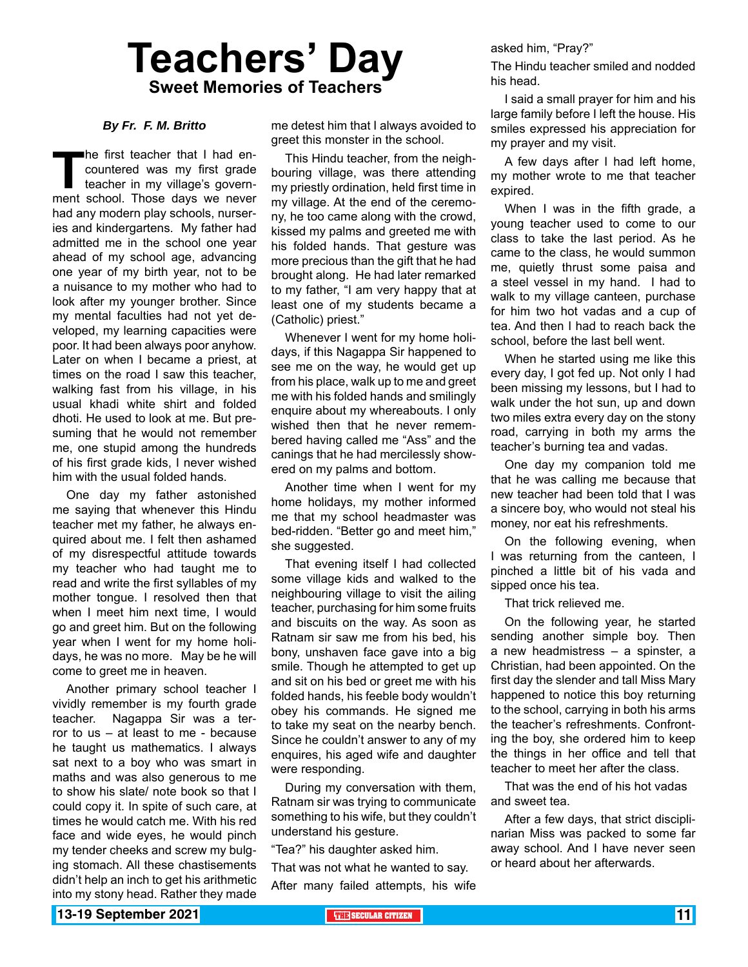# **Teachers' Day Sweet Memories of Teachers**

#### *By Fr. F. M. Britto*

The first teacher that I had encountered was my first grade<br>teacher in my village's govern-<br>ment school. Those days we never countered was my first grade teacher in my village's government school. Those days we never had any modern play schools, nurseries and kindergartens. My father had admitted me in the school one year ahead of my school age, advancing one year of my birth year, not to be a nuisance to my mother who had to look after my younger brother. Since my mental faculties had not yet developed, my learning capacities were poor. It had been always poor anyhow. Later on when I became a priest, at times on the road I saw this teacher, walking fast from his village, in his usual khadi white shirt and folded dhoti. He used to look at me. But presuming that he would not remember me, one stupid among the hundreds of his first grade kids, I never wished him with the usual folded hands.

One day my father astonished me saying that whenever this Hindu teacher met my father, he always enquired about me. I felt then ashamed of my disrespectful attitude towards my teacher who had taught me to read and write the first syllables of my mother tongue. I resolved then that when I meet him next time, I would go and greet him. But on the following year when I went for my home holidays, he was no more. May be he will come to greet me in heaven.

Another primary school teacher I vividly remember is my fourth grade teacher. Nagappa Sir was a terror to us – at least to me - because he taught us mathematics. I always sat next to a boy who was smart in maths and was also generous to me to show his slate/ note book so that I could copy it. In spite of such care, at times he would catch me. With his red face and wide eyes, he would pinch my tender cheeks and screw my bulging stomach. All these chastisements didn't help an inch to get his arithmetic into my stony head. Rather they made

me detest him that I always avoided to greet this monster in the school.

This Hindu teacher, from the neighbouring village, was there attending my priestly ordination, held first time in my village. At the end of the ceremony, he too came along with the crowd, kissed my palms and greeted me with his folded hands. That gesture was more precious than the gift that he had brought along. He had later remarked to my father, "I am very happy that at least one of my students became a (Catholic) priest."

Whenever I went for my home holidays, if this Nagappa Sir happened to see me on the way, he would get up from his place, walk up to me and greet me with his folded hands and smilingly enquire about my whereabouts. I only wished then that he never remembered having called me "Ass" and the canings that he had mercilessly showered on my palms and bottom.

Another time when I went for my home holidays, my mother informed me that my school headmaster was bed-ridden. "Better go and meet him," she suggested.

That evening itself I had collected some village kids and walked to the neighbouring village to visit the ailing teacher, purchasing for him some fruits and biscuits on the way. As soon as Ratnam sir saw me from his bed, his bony, unshaven face gave into a big smile. Though he attempted to get up and sit on his bed or greet me with his folded hands, his feeble body wouldn't obey his commands. He signed me to take my seat on the nearby bench. Since he couldn't answer to any of my enquires, his aged wife and daughter were responding.

During my conversation with them, Ratnam sir was trying to communicate something to his wife, but they couldn't understand his gesture.

"Tea?" his daughter asked him.

That was not what he wanted to say.

After many failed attempts, his wife

asked him, "Pray?"

The Hindu teacher smiled and nodded his head.

I said a small prayer for him and his large family before I left the house. His smiles expressed his appreciation for my prayer and my visit.

A few days after I had left home, my mother wrote to me that teacher expired.

When I was in the fifth grade, a young teacher used to come to our class to take the last period. As he came to the class, he would summon me, quietly thrust some paisa and a steel vessel in my hand. I had to walk to my village canteen, purchase for him two hot vadas and a cup of tea. And then I had to reach back the school, before the last bell went.

When he started using me like this every day, I got fed up. Not only I had been missing my lessons, but I had to walk under the hot sun, up and down two miles extra every day on the stony road, carrying in both my arms the teacher's burning tea and vadas.

One day my companion told me that he was calling me because that new teacher had been told that I was a sincere boy, who would not steal his money, nor eat his refreshments.

On the following evening, when I was returning from the canteen, I pinched a little bit of his vada and sipped once his tea.

That trick relieved me.

On the following year, he started sending another simple boy. Then a new headmistress – a spinster, a Christian, had been appointed. On the first day the slender and tall Miss Mary happened to notice this boy returning to the school, carrying in both his arms the teacher's refreshments. Confronting the boy, she ordered him to keep the things in her office and tell that teacher to meet her after the class.

That was the end of his hot vadas and sweet tea.

After a few days, that strict disciplinarian Miss was packed to some far away school. And I have never seen or heard about her afterwards.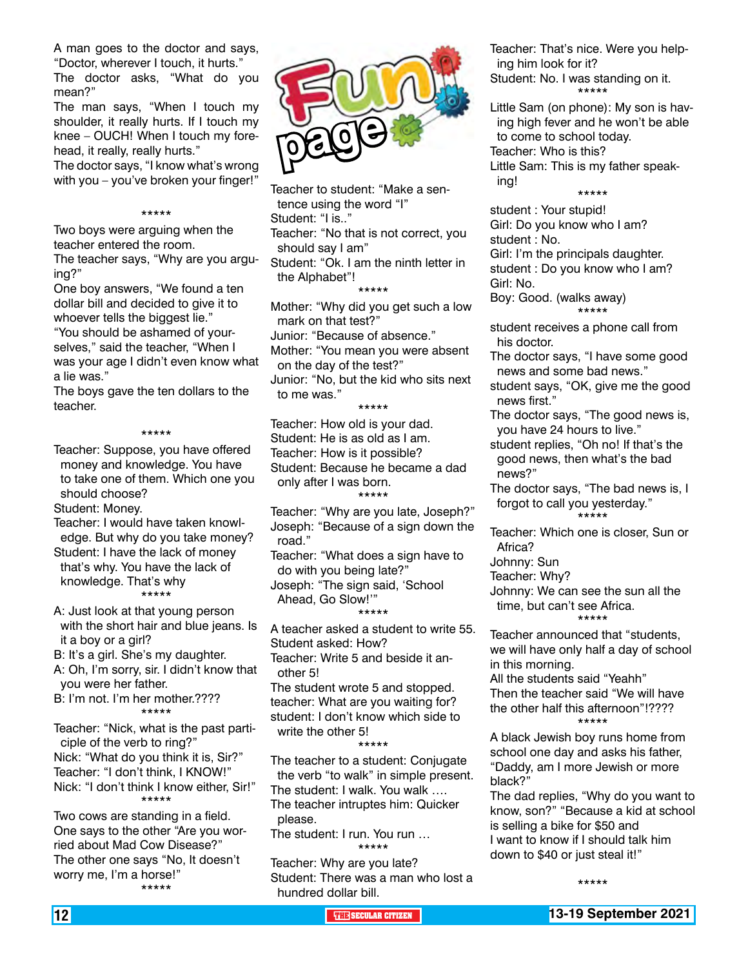A man goes to the doctor and says, "Doctor, wherever I touch, it hurts." The doctor asks, "What do you

mean?" The man says, "When I touch my shoulder, it really hurts. If I touch my knee – OUCH! When I touch my forehead, it really, really hurts."

The doctor says, "I know what's wrong with you – you've broken your finger!"

#### \*\*\*\*\*

Two boys were arguing when the teacher entered the room.

The teacher says, "Why are you arguing?"

One boy answers, "We found a ten dollar bill and decided to give it to whoever tells the biggest lie." "You should be ashamed of yourselves," said the teacher, "When I was your age I didn't even know what

a lie was." The boys gave the ten dollars to the teacher.

#### \*\*\*\*\*

Teacher: Suppose, you have offered money and knowledge. You have to take one of them. Which one you should choose?

Student: Money.

Teacher: I would have taken knowledge. But why do you take money? Student: I have the lack of money that's why. You have the lack of knowledge. That's why \*\*\*\*\*

A: Just look at that young person with the short hair and blue jeans. Is it a boy or a girl?

B: It's a girl. She's my daughter.

A: Oh, I'm sorry, sir. I didn't know that you were her father.

B: I'm not. I'm her mother.???? \*\*\*\*\*

Teacher: "Nick, what is the past participle of the verb to ring?" Nick: "What do you think it is, Sir?" Teacher: "I don't think, I KNOW!" Nick: "I don't think I know either, Sir!" \*\*\*\*\*

Two cows are standing in a field. One says to the other "Are you worried about Mad Cow Disease?" The other one says "No, It doesn't worry me, I'm a horse!" \*\*\*\*\*



Teacher to student: "Make a sentence using the word "I" Student: "I is.." Teacher: "No that is not correct, you should say I am" Student: "Ok. I am the ninth letter in the Alphabet"! \*\*\*\*\*

Mother: "Why did you get such a low mark on that test?" Junior: "Because of absence." Mother: "You mean you were absent on the day of the test?" Junior: "No, but the kid who sits next to me was." \*\*\*\*\*

Teacher: How old is your dad. Student: He is as old as I am. Teacher: How is it possible? Student: Because he became a dad only after I was born. \*\*\*\*\*

Teacher: "Why are you late, Joseph?" Joseph: "Because of a sign down the road."

Teacher: "What does a sign have to do with you being late?" Joseph: "The sign said, 'School

Ahead, Go Slow!'" \*\*\*\*\*

A teacher asked a student to write 55. Student asked: How? Teacher: Write 5 and beside it another 5! The student wrote 5 and stopped.

teacher: What are you waiting for? student: I don't know which side to write the other 5! \*\*\*\*\*

The teacher to a student: Conjugate the verb "to walk" in simple present. The student: I walk. You walk …. The teacher intruptes him: Quicker please.

The student: I run. You run … \*\*\*\*\*

Teacher: Why are you late? Student: There was a man who lost a hundred dollar bill.

Teacher: That's nice. Were you helping him look for it? Student: No. I was standing on it. \*\*\*\*\*

Little Sam (on phone): My son is having high fever and he won't be able to come to school today. Teacher: Who is this? Little Sam: This is my father speaking!

\*\*\*\*\*

student : Your stupid! Girl: Do you know who I am? student : No. Girl: I'm the principals daughter.

student : Do you know who I am? Girl: No.

Boy: Good. (walks away) \*\*\*\*\*

student receives a phone call from his doctor.

- The doctor says, "I have some good news and some bad news."
- student says, "OK, give me the good news first."
- The doctor says, "The good news is, you have 24 hours to live."

student replies, "Oh no! If that's the good news, then what's the bad news?"

The doctor says, "The bad news is, I forgot to call you yesterday." \*\*\*\*\*

Teacher: Which one is closer, Sun or Africa?

Johnny: Sun

Teacher: Why?

Johnny: We can see the sun all the time, but can't see Africa. \*\*\*\*\*

#### Teacher announced that "students,

we will have only half a day of school in this morning.

All the students said "Yeahh" Then the teacher said "We will have the other half this afternoon"!???? \*\*\*\*\*

A black Jewish boy runs home from school one day and asks his father, "Daddy, am I more Jewish or more black?"

The dad replies, "Why do you want to know, son?" "Because a kid at school is selling a bike for \$50 and I want to know if I should talk him down to \$40 or just steal it!"

\*\*\*\*\*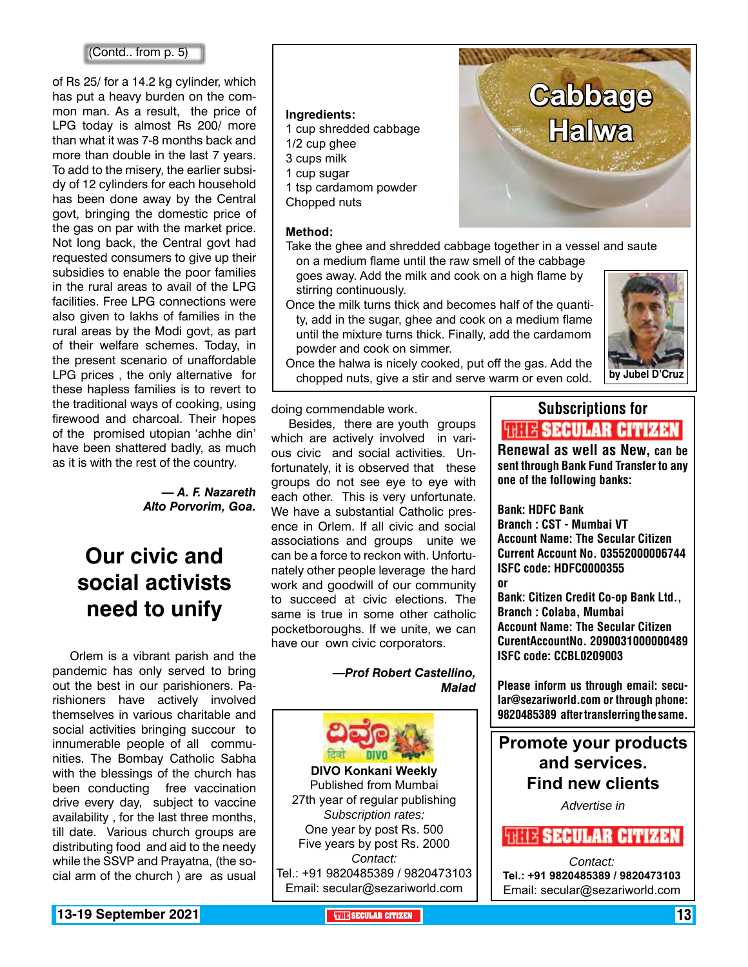#### (Contd.. from p. 5)

of Rs 25/ for a 14.2 kg cylinder, which has put a heavy burden on the common man. As a result, the price of LPG today is almost Rs 200/ more than what it was 7-8 months back and more than double in the last 7 years. To add to the misery, the earlier subsidy of 12 cylinders for each household has been done away by the Central govt, bringing the domestic price of the gas on par with the market price. Not long back, the Central govt had requested consumers to give up their subsidies to enable the poor families in the rural areas to avail of the LPG facilities. Free LPG connections were also given to lakhs of families in the rural areas by the Modi govt, as part of their welfare schemes. Today, in the present scenario of unaffordable LPG prices , the only alternative for these hapless families is to revert to the traditional ways of cooking, using firewood and charcoal. Their hopes of the promised utopian 'achhe din' have been shattered badly, as much as it is with the rest of the country.

#### *— A. F. Nazareth Alto Porvorim, Goa.*

### **Our civic and social activists need to unify**

Orlem is a vibrant parish and the pandemic has only served to bring out the best in our parishioners. Parishioners have actively involved themselves in various charitable and social activities bringing succour to innumerable people of all communities. The Bombay Catholic Sabha with the blessings of the church has been conducting free vaccination drive every day, subject to vaccine availability , for the last three months, till date. Various church groups are distributing food and aid to the needy while the SSVP and Prayatna, (the social arm of the church ) are as usual

#### **Ingredients:**

- 1 cup shredded cabbage
- 1/2 cup ghee
- 3 cups milk
- 1 cup sugar
- 1 tsp cardamom powder
- Chopped nuts

#### **Method:**

Take the ghee and shredded cabbage together in a vessel and saute on a medium flame until the raw smell of the cabbage

goes away. Add the milk and cook on a high flame by stirring continuously.

Once the milk turns thick and becomes half of the quantity, add in the sugar, ghee and cook on a medium flame until the mixture turns thick. Finally, add the cardamom powder and cook on simmer.



Once the halwa is nicely cooked, put off the gas. Add the chopped nuts, give a stir and serve warm or even cold. **by Jubel D'Cruz**

doing commendable work.

Besides, there are youth groups which are actively involved in various civic and social activities. Unfortunately, it is observed that these groups do not see eye to eye with each other. This is very unfortunate. We have a substantial Catholic presence in Orlem. If all civic and social associations and groups unite we can be a force to reckon with. Unfortunately other people leverage the hard work and goodwill of our community to succeed at civic elections. The same is true in some other catholic pocketboroughs. If we unite, we can have our own civic corporators.

> *—Prof Robert Castellino, Malad*



Published from Mumbai 27th year of regular publishing *Subscription rates:* One year by post Rs. 500 Five years by post Rs. 2000 *Contact:*  Tel.: +91 9820485389 / 9820473103 Email: secular@sezariworld.com

### Subscriptions for **THIT'S SECULAR CITIZEN**<br>Renewal as well as New, can be

**Cabbage** 

**Halwa**

sent through Bank Fund Transfer to any one of the following banks:

Bank: HDFC Bank Branch : CST - Mumbai VT Account Name: The Secular Citizen Current Account No. 03552000006744 ISFC code: HDFC0000355 or

Bank: Citizen Credit Co-op Bank Ltd., Branch : Colaba, Mumbai Account Name: The Secular Citizen CurentAccountNo. 2090031000000489 ISFC code: CCBL0209003

Please inform us through email: secular@sezariworld.com or through phone: 9820485389 after transferring the same.

**Promote your products and services. Find new clients**

*Advertise in*

#### *FRITE SECULAR CITIZEN*

*Contact:* **Tel.: +91 9820485389 / 9820473103** Email: secular@sezariworld.com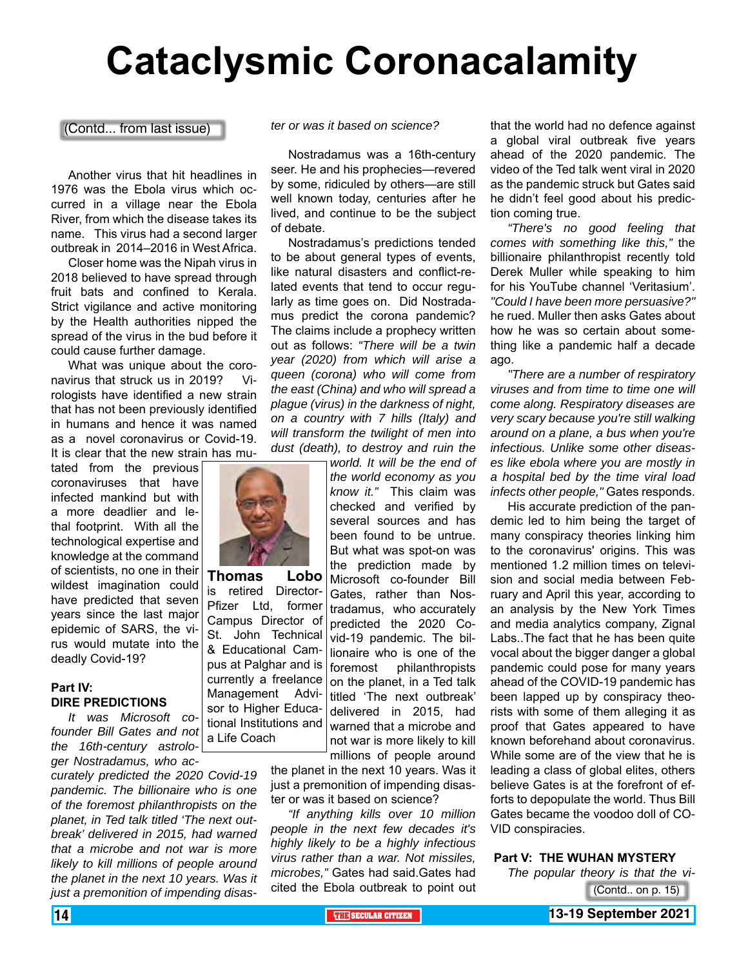# **Cataclysmic Coronacalamity**

(Contd... from last issue)

Another virus that hit headlines in 1976 was the Ebola virus which occurred in a village near the Ebola River, from which the disease takes its name. This virus had a second larger outbreak in 2014–2016 in West Africa.

Closer home was the Nipah virus in 2018 believed to have spread through fruit bats and confined to Kerala. Strict vigilance and active monitoring by the Health authorities nipped the spread of the virus in the bud before it could cause further damage.

What was unique about the coronavirus that struck us in 2019? Virologists have identified a new strain that has not been previously identified in humans and hence it was named as a novel coronavirus or Covid-19. It is clear that the new strain has mu-

tated from the previous coronaviruses that have infected mankind but with a more deadlier and lethal footprint. With all the technological expertise and knowledge at the command of scientists, no one in their wildest imagination could have predicted that seven years since the last major epidemic of SARS, the virus would mutate into the deadly Covid-19?

#### **Part IV: DIRE PREDICTIONS**

*It was Microsoft cofounder Bill Gates and not the 16th-century astrologer Nostradamus, who ac*tional Institutions and a Life Coach

*curately predicted the 2020 Covid-19 pandemic. The billionaire who is one of the foremost philanthropists on the planet, in Ted talk titled 'The next outbreak' delivered in 2015, had warned that a microbe and not war is more likely to kill millions of people around the planet in the next 10 years. Was it just a premonition of impending disas-* *ter or was it based on science?*

Nostradamus was a 16th-century seer. He and his prophecies—revered by some, ridiculed by others—are still well known today, centuries after he lived, and continue to be the subject of debate.

Nostradamus's predictions tended to be about general types of events, like natural disasters and conflict-related events that tend to occur regularly as time goes on. Did Nostradamus predict the corona pandemic? The claims include a prophecy written out as follows: *"There will be a twin year (2020) from which will arise a queen (corona) who will come from the east (China) and who will spread a plague (virus) in the darkness of night, on a country with 7 hills (Italy) and will transform the twilight of men into dust (death), to destroy and ruin the* 

*world. It will be the end of the world economy as you know it."* This claim was checked and verified by several sources and has been found to be untrue. But what was spot-on was the prediction made by Microsoft co-founder Bill Gates, rather than Nostradamus, who accurately predicted the 2020 Covid-19 pandemic. The billionaire who is one of the foremost philanthropists on the planet, in a Ted talk titled 'The next outbreak' delivered in 2015, had warned that a microbe and not war is more likely to kill millions of people around

the planet in the next 10 years. Was it just a premonition of impending disaster or was it based on science?

*"If anything kills over 10 million people in the next few decades it's highly likely to be a highly infectious virus rather than a war. Not missiles, microbes,"* Gates had said.Gates had cited the Ebola outbreak to point out

that the world had no defence against a global viral outbreak five years ahead of the 2020 pandemic. The video of the Ted talk went viral in 2020 as the pandemic struck but Gates said he didn't feel good about his prediction coming true.

*"There's no good feeling that comes with something like this,"* the billionaire philanthropist recently told Derek Muller while speaking to him for his YouTube channel 'Veritasium'. *"Could I have been more persuasive?"* he rued. Muller then asks Gates about how he was so certain about something like a pandemic half a decade ago.

*"There are a number of respiratory viruses and from time to time one will come along. Respiratory diseases are very scary because you're still walking around on a plane, a bus when you're infectious. Unlike some other diseases like ebola where you are mostly in a hospital bed by the time viral load infects other people,"* Gates responds.

His accurate prediction of the pandemic led to him being the target of many conspiracy theories linking him to the coronavirus' origins. This was mentioned 1.2 million times on television and social media between February and April this year, according to an analysis by the New York Times and media analytics company, Zignal Labs..The fact that he has been quite vocal about the bigger danger a global pandemic could pose for many years ahead of the COVID-19 pandemic has been lapped up by conspiracy theorists with some of them alleging it as proof that Gates appeared to have known beforehand about coronavirus. While some are of the view that he is leading a class of global elites, others believe Gates is at the forefront of efforts to depopulate the world. Thus Bill Gates became the voodoo doll of CO-VID conspiracies.

#### **Part V: THE WUHAN MYSTERY**

*The popular theory is that the vi-*(Contd.. on p. 15)



**Thomas Lobo** is retired Director-Pfizer Ltd, former Campus Director of St. John Technical & Educational Campus at Palghar and is currently a freelance Management Advi-

sor to Higher Educa-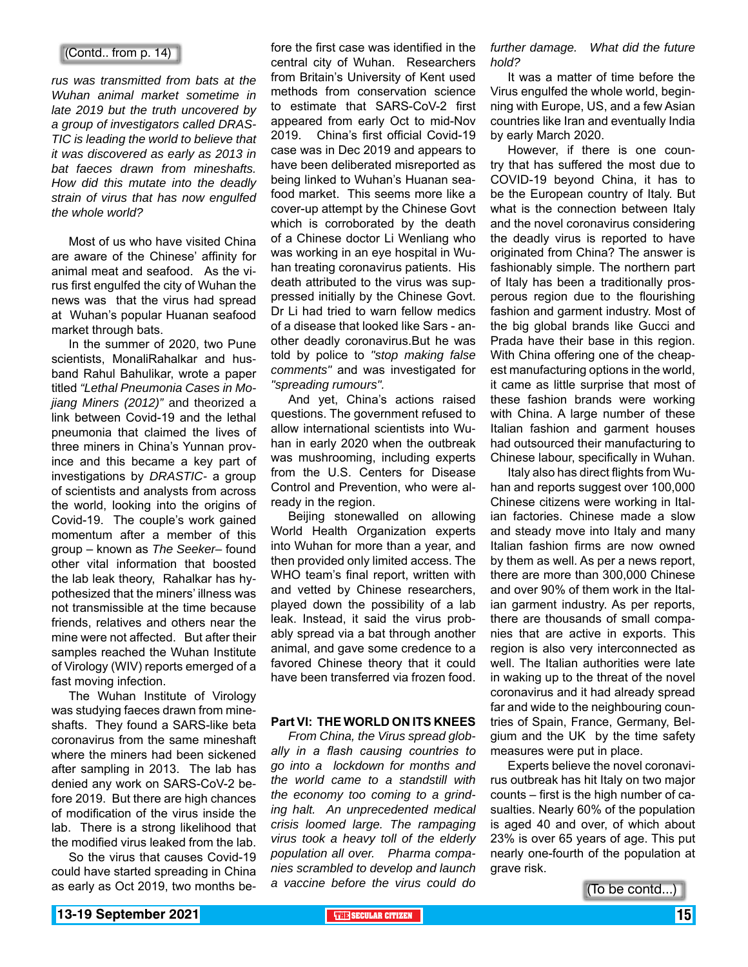#### (Contd.. from p. 14)

*rus was transmitted from bats at the Wuhan animal market sometime in late 2019 but the truth uncovered by a group of investigators called DRAS-TIC is leading the world to believe that it was discovered as early as 2013 in bat faeces drawn from mineshafts. How did this mutate into the deadly strain of virus that has now engulfed the whole world?*

Most of us who have visited China are aware of the Chinese' affinity for animal meat and seafood. As the virus first engulfed the city of Wuhan the news was that the virus had spread at Wuhan's popular Huanan seafood market through bats.

In the summer of 2020, two Pune scientists, MonaliRahalkar and husband Rahul Bahulikar, wrote a paper titled *"Lethal Pneumonia Cases in Mojiang Miners (2012)"* and theorized a link between Covid-19 and the lethal pneumonia that claimed the lives of three miners in China's Yunnan province and this became a key part of investigations by *DRASTIC-* a group of scientists and analysts from across the world, looking into the origins of Covid-19. The couple's work gained momentum after a member of this group – known as *The Seeker–* found other vital information that boosted the lab leak theory, Rahalkar has hypothesized that the miners' illness was not transmissible at the time because friends, relatives and others near the mine were not affected. But after their samples reached the Wuhan Institute of Virology (WIV) reports emerged of a fast moving infection.

The Wuhan Institute of Virology was studying faeces drawn from mineshafts. They found a SARS-like beta coronavirus from the same mineshaft where the miners had been sickened after sampling in 2013. The lab has denied any work on SARS-CoV-2 before 2019. But there are high chances of modification of the virus inside the lab. There is a strong likelihood that the modified virus leaked from the lab.

So the virus that causes Covid-19 could have started spreading in China as early as Oct 2019, two months be-

fore the first case was identified in the central city of Wuhan. Researchers from Britain's University of Kent used methods from conservation science to estimate that SARS-CoV-2 first appeared from early Oct to mid-Nov 2019. China's first official Covid-19 case was in Dec 2019 and appears to have been deliberated misreported as being linked to Wuhan's Huanan seafood market. This seems more like a cover-up attempt by the Chinese Govt which is corroborated by the death of a Chinese doctor Li Wenliang who was working in an eye hospital in Wuhan treating coronavirus patients. His death attributed to the virus was suppressed initially by the Chinese Govt. Dr Li had tried to warn fellow medics of a disease that looked like Sars - another deadly coronavirus.But he was told by police to *"stop making false comments"* and was investigated for *"spreading rumours".*

And yet, China's actions raised questions. The government refused to allow international scientists into Wuhan in early 2020 when the outbreak was mushrooming, including experts from the U.S. Centers for Disease Control and Prevention, who were already in the region.

Beijing stonewalled on allowing World Health Organization experts into Wuhan for more than a year, and then provided only limited access. The WHO team's final report, written with and vetted by Chinese researchers, played down the possibility of a lab leak. Instead, it said the virus probably spread via a bat through another animal, and gave some credence to a favored Chinese theory that it could have been transferred via frozen food.

#### **Part VI: THE WORLD ON ITS KNEES**

*From China, the Virus spread globally in a flash causing countries to go into a lockdown for months and the world came to a standstill with the economy too coming to a grinding halt. An unprecedented medical crisis loomed large. The rampaging virus took a heavy toll of the elderly population all over. Pharma companies scrambled to develop and launch a vaccine before the virus could do* 

*further damage. What did the future hold?*

It was a matter of time before the Virus engulfed the whole world, beginning with Europe, US, and a few Asian countries like Iran and eventually India by early March 2020.

However, if there is one country that has suffered the most due to COVID-19 beyond China, it has to be the European country of Italy. But what is the connection between Italy and the novel coronavirus considering the deadly virus is reported to have originated from China? The answer is fashionably simple. The northern part of Italy has been a traditionally prosperous region due to the flourishing fashion and garment industry. Most of the big global brands like Gucci and Prada have their base in this region. With China offering one of the cheapest manufacturing options in the world, it came as little surprise that most of these fashion brands were working with China. A large number of these Italian fashion and garment houses had outsourced their manufacturing to Chinese labour, specifically in Wuhan.

Italy also has direct flights from Wuhan and reports suggest over 100,000 Chinese citizens were working in Italian factories. Chinese made a slow and steady move into Italy and many Italian fashion firms are now owned by them as well. As per a news report, there are more than 300,000 Chinese and over 90% of them work in the Italian garment industry. As per reports, there are thousands of small companies that are active in exports. This region is also very interconnected as well. The Italian authorities were late in waking up to the threat of the novel coronavirus and it had already spread far and wide to the neighbouring countries of Spain, France, Germany, Belgium and the UK by the time safety measures were put in place.

Experts believe the novel coronavirus outbreak has hit Italy on two major counts – first is the high number of casualties. Nearly 60% of the population is aged 40 and over, of which about 23% is over 65 years of age. This put nearly one-fourth of the population at grave risk.

(To be contd...)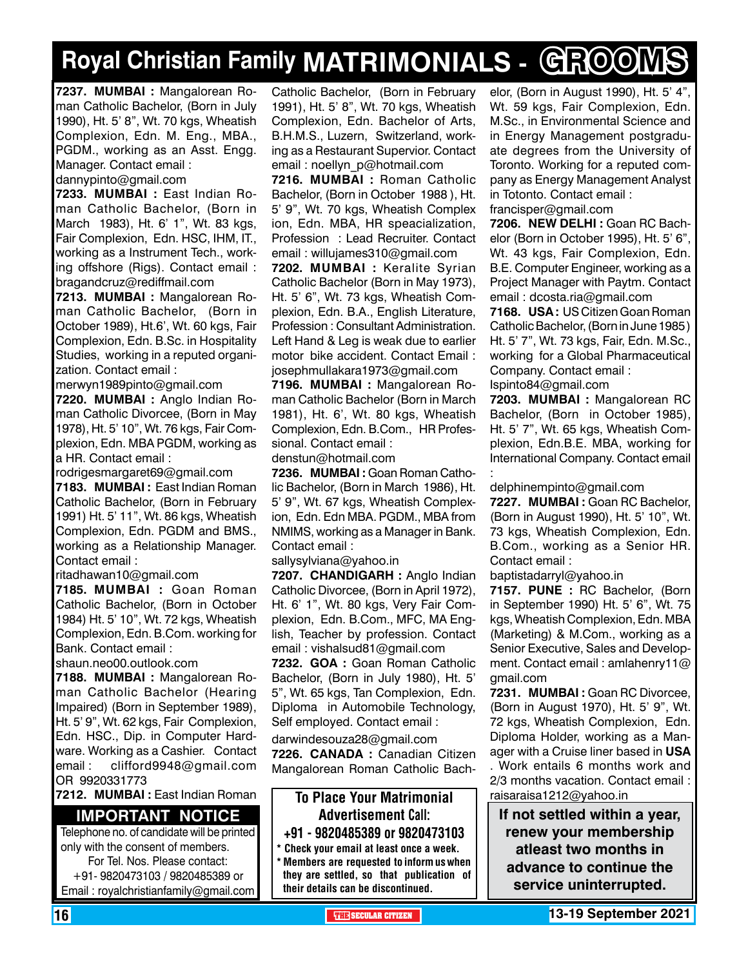# **Royal Christian Family MATRIMONIALS - GROOMS**

**7237. MUMBAI :** Mangalorean Roman Catholic Bachelor, (Born in July 1990), Ht. 5' 8", Wt. 70 kgs, Wheatish Complexion, Edn. M. Eng., MBA., PGDM., working as an Asst. Engg. Manager. Contact email :

dannypinto@gmail.com

**7233. MUMBAI :** East Indian Roman Catholic Bachelor, (Born in March 1983), Ht. 6' 1", Wt. 83 kgs, Fair Complexion, Edn. HSC, IHM, IT., working as a Instrument Tech., working offshore (Rigs). Contact email : bragandcruz@rediffmail.com

**7213. MUMBAI :** Mangalorean Roman Catholic Bachelor, (Born in October 1989), Ht.6', Wt. 60 kgs, Fair Complexion, Edn. B.Sc. in Hospitality Studies, working in a reputed organization. Contact email :

merwyn1989pinto@gmail.com **7220. MUMBAI :** Anglo Indian Roman Catholic Divorcee, (Born in May 1978), Ht. 5' 10", Wt. 76 kgs, Fair Complexion, Edn. MBA PGDM, working as a HR. Contact email :

rodrigesmargaret69@gmail.com

**7183. MUMBAI :** East Indian Roman Catholic Bachelor, (Born in February 1991) Ht. 5' 11", Wt. 86 kgs, Wheatish Complexion, Edn. PGDM and BMS., working as a Relationship Manager. Contact email :

ritadhawan10@gmail.com

**7185. MUMBAI :** Goan Roman Catholic Bachelor, (Born in October 1984) Ht. 5' 10", Wt. 72 kgs, Wheatish Complexion, Edn. B.Com. working for Bank. Contact email :

shaun.neo00.outlook.com

**7188. MUMBAI :** Mangalorean Roman Catholic Bachelor (Hearing Impaired) (Born in September 1989), Ht. 5' 9", Wt. 62 kgs, Fair Complexion, Edn. HSC., Dip. in Computer Hardware. Working as a Cashier. Contact email : clifford9948@gmail.com OR 9920331773

**7212. MUMBAI :** East Indian Roman

#### **Important Notice**

Telephone no. of candidate will be printed only with the consent of members. For Tel. Nos. Please contact: +91- 9820473103 / 9820485389 or Email : royalchristianfamily@gmail.com

Catholic Bachelor, (Born in February 1991), Ht. 5' 8", Wt. 70 kgs, Wheatish Complexion, Edn. Bachelor of Arts, B.H.M.S., Luzern, Switzerland, working as a Restaurant Supervior. Contact email : noellyn\_p@hotmail.com

**7216. MUMBAI :** Roman Catholic Bachelor, (Born in October 1988 ), Ht. 5' 9", Wt. 70 kgs, Wheatish Complex ion, Edn. MBA, HR speacialization, Profession : Lead Recruiter. Contact email : willujames310@gmail.com

**7202. MUMBAI :** Keralite Syrian Catholic Bachelor (Born in May 1973), Ht. 5' 6", Wt. 73 kgs, Wheatish Complexion, Edn. B.A., English Literature, Profession : Consultant Administration. Left Hand & Leg is weak due to earlier motor bike accident. Contact Email : josephmullakara1973@gmail.com

**7196. MUMBAI :** Mangalorean Roman Catholic Bachelor (Born in March 1981), Ht. 6', Wt. 80 kgs, Wheatish Complexion, Edn. B.Com., HR Professional. Contact email :

denstun@hotmail.com

**7236. MUMBAI :** Goan Roman Catholic Bachelor, (Born in March 1986), Ht. 5' 9", Wt. 67 kgs, Wheatish Complexion, Edn. Edn MBA. PGDM., MBA from NMIMS, working as a Manager in Bank. Contact email :

sallysylviana@yahoo.in

**7207. Chandigarh :** Anglo Indian Catholic Divorcee, (Born in April 1972), Ht. 6' 1", Wt. 80 kgs, Very Fair Complexion, Edn. B.Com., MFC, MA English, Teacher by profession. Contact email : vishalsud81@gmail.com

**7232. GOA :** Goan Roman Catholic Bachelor, (Born in July 1980), Ht. 5' 5", Wt. 65 kgs, Tan Complexion, Edn. Diploma in Automobile Technology, Self employed. Contact email :

darwindesouza28@gmail.com

**7226. CANADA :** Canadian Citizen Mangalorean Roman Catholic Bach-

#### To Place Your Matrimonial Advertisement Call: +91 - 9820485389 or 9820473103

\* Check your email at least once a week. \* Members are requested to inform us when they are settled, so that publication of their details can be discontinued.

elor, (Born in August 1990), Ht. 5' 4", Wt. 59 kgs, Fair Complexion, Edn. M.Sc., in Environmental Science and in Energy Management postgraduate degrees from the University of Toronto. Working for a reputed company as Energy Management Analyst in Totonto. Contact email : francisper@gmail.com

**7206. new delhi :** Goan RC Bachelor (Born in October 1995), Ht. 5' 6", Wt. 43 kgs, Fair Complexion, Edn. B.E. Computer Engineer, working as a Project Manager with Paytm. Contact email : dcosta.ria@gmail.com

**7168. USA :** US Citizen Goan Roman Catholic Bachelor, (Born in June 1985 ) Ht. 5' 7", Wt. 73 kgs, Fair, Edn. M.Sc., working for a Global Pharmaceutical Company. Contact email :

Ispinto84@gmail.com

**7203. MUMBAI :** Mangalorean RC Bachelor, (Born in October 1985), Ht. 5' 7", Wt. 65 kgs, Wheatish Complexion, Edn.B.E. MBA, working for International Company. Contact email :

delphinempinto@gmail.com

**7227. MUMBAI :** Goan RC Bachelor, (Born in August 1990), Ht. 5' 10", Wt. 73 kgs, Wheatish Complexion, Edn. B.Com., working as a Senior HR. Contact email :

baptistadarryl@yahoo.in

**7157. PUNE :** RC Bachelor, (Born in September 1990) Ht. 5' 6", Wt. 75 kgs, Wheatish Complexion, Edn. MBA (Marketing) & M.Com., working as a Senior Executive, Sales and Development. Contact email : amlahenry11@ gmail.com

**7231. MUMBAI :** Goan RC Divorcee, (Born in August 1970), Ht. 5' 9", Wt. 72 kgs, Wheatish Complexion, Edn. Diploma Holder, working as a Manager with a Cruise liner based in **USA** . Work entails 6 months work and 2/3 months vacation. Contact email : raisaraisa1212@yahoo.in

**If not settled within a year, renew your membership atleast two months in advance to continue the service uninterrupted.**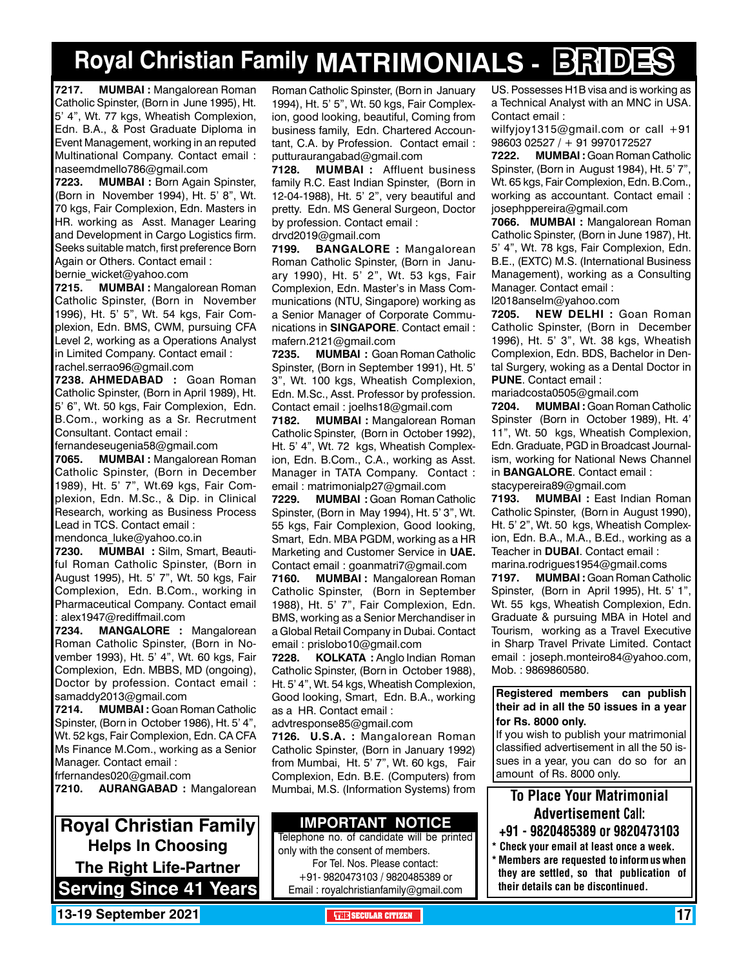# **Royal Christian Family MATRIMONIALS - BRIDES**

**7217. MUMBAI :** Mangalorean Roman Catholic Spinster, (Born in June 1995), Ht. 5' 4", Wt. 77 kgs, Wheatish Complexion, Edn. B.A., & Post Graduate Diploma in Event Management, working in an reputed Multinational Company. Contact email : naseemdmello786@gmail.com

**7223. MUMBAI :** Born Again Spinster, (Born in November 1994), Ht. 5' 8", Wt. 70 kgs, Fair Complexion, Edn. Masters in HR. working as Asst. Manager Learing and Development in Cargo Logistics firm. Seeks suitable match, first preference Born Again or Others. Contact email : bernie wicket@yahoo.com

**7215. MUMBAI :** Mangalorean Roman Catholic Spinster, (Born in November 1996), Ht. 5' 5", Wt. 54 kgs, Fair Complexion, Edn. BMS, CWM, pursuing CFA Level 2, working as a Operations Analyst in Limited Company. Contact email : rachel.serrao96@gmail.com

**7238. AHMEDABAD :** Goan Roman Catholic Spinster, (Born in April 1989), Ht. 5' 6", Wt. 50 kgs, Fair Complexion, Edn. B.Com., working as a Sr. Recrutment Consultant. Contact email :

fernandeseugenia58@gmail.com

**7065. MUMBAI :** Mangalorean Roman Catholic Spinster, (Born in December 1989), Ht. 5' 7", Wt.69 kgs, Fair Complexion, Edn. M.Sc., & Dip. in Clinical Research, working as Business Process Lead in TCS. Contact email : mendonca\_luke@yahoo.co.in

**7230. MUMBAI :** Silm, Smart, Beautiful Roman Catholic Spinster, (Born in August 1995), Ht. 5' 7", Wt. 50 kgs, Fair Complexion, Edn. B.Com., working in Pharmaceutical Company. Contact email : alex1947@rediffmail.com

**7234. MANGALORE :** Mangalorean Roman Catholic Spinster, (Born in November 1993), Ht. 5' 4", Wt. 60 kgs, Fair Complexion, Edn. MBBS, MD (ongoing), Doctor by profession. Contact email : samaddy2013@gmail.com

**7214. MUMBAI :** Goan Roman Catholic Spinster, (Born in October 1986), Ht. 5' 4", Wt. 52 kgs, Fair Complexion, Edn. CA CFA Ms Finance M.Com., working as a Senior Manager. Contact email :

frfernandes020@gmail.com

**7210. AURANGABAD :** Mangalorean

**Royal Christian Family Helps In Choosing The Right Life-Partner Serving Since 41 Years** Roman Catholic Spinster, (Born in January 1994), Ht. 5' 5", Wt. 50 kgs, Fair Complexion, good looking, beautiful, Coming from business family, Edn. Chartered Accountant, C.A. by Profession. Contact email : putturaurangabad@gmail.com

**7128. MUMBAI :** Affluent business family R.C. East Indian Spinster, (Born in 12-04-1988), Ht. 5' 2", very beautiful and pretty. Edn. MS General Surgeon, Doctor by profession. Contact email : drvd2019@gmail.com

**7199. BANGALORE :** Mangalorean Roman Catholic Spinster, (Born in January 1990), Ht. 5' 2", Wt. 53 kgs, Fair Complexion, Edn. Master's in Mass Communications (NTU, Singapore) working as a Senior Manager of Corporate Communications in **SINGAPORE**. Contact email : mafern.2121@gmail.com

**7235. MUMBAI :** Goan Roman Catholic Spinster, (Born in September 1991), Ht. 5' 3", Wt. 100 kgs, Wheatish Complexion, Edn. M.Sc., Asst. Professor by profession. Contact email : joelhs18@gmail.com

**7182. MUMBAI :** Mangalorean Roman Catholic Spinster, (Born in October 1992), Ht. 5' 4", Wt. 72 kgs, Wheatish Complexion, Edn. B.Com., C.A., working as Asst. Manager in TATA Company. Contact : email : matrimonialp27@gmail.com

**7229. MUMBAI :** Goan Roman Catholic Spinster, (Born in May 1994), Ht. 5' 3", Wt. 55 kgs, Fair Complexion, Good looking, Smart, Edn. MBA PGDM, working as a HR Marketing and Customer Service in **UAE.** Contact email : goanmatri7@gmail.com

**7160. MUMBAI :** Mangalorean Roman Catholic Spinster, (Born in September 1988), Ht. 5' 7", Fair Complexion, Edn. BMS, working as a Senior Merchandiser in a Global Retail Company in Dubai. Contact email : prislobo10@gmail.com

**7228. KOLKATA :** Anglo Indian Roman Catholic Spinster, (Born in October 1988), Ht. 5' 4", Wt. 54 kgs, Wheatish Complexion, Good looking, Smart, Edn. B.A., working as a HR. Contact email :

advtresponse85@gmail.com

**7126. U.S.A. :** Mangalorean Roman Catholic Spinster, (Born in January 1992) from Mumbai, Ht. 5' 7", Wt. 60 kgs, Fair Complexion, Edn. B.E. (Computers) from Mumbai, M.S. (Information Systems) from

#### **Important Notice**

Telephone no. of candidate will be printed only with the consent of members. For Tel. Nos. Please contact: +91- 9820473103 / 9820485389 or Email : royalchristianfamily@gmail.com

US. Possesses H1B visa and is working as a Technical Analyst with an MNC in USA. Contact email :

wilfyjoy1315@gmail.com or call +91 98603 02527 / + 91 9970172527

**7222. MUMBAI :** Goan Roman Catholic Spinster, (Born in August 1984), Ht. 5' 7", Wt. 65 kgs, Fair Complexion, Edn. B.Com., working as accountant. Contact email : josephppereira@gmail.com

**7066. MUMBAI :** Mangalorean Roman Catholic Spinster, (Born in June 1987), Ht. 5' 4", Wt. 78 kgs, Fair Complexion, Edn. B.E., (EXTC) M.S. (International Business Management), working as a Consulting Manager. Contact email :

l2018anselm@yahoo.com

**7205. NEW DELHI :** Goan Roman Catholic Spinster, (Born in December 1996), Ht. 5' 3", Wt. 38 kgs, Wheatish Complexion, Edn. BDS, Bachelor in Dental Surgery, woking as a Dental Doctor in **PUNE**. Contact email :

mariadcosta0505@gmail.com

**7204. MUMBAI :** Goan Roman Catholic Spinster (Born in October 1989), Ht. 4' 11", Wt. 50 kgs, Wheatish Complexion, Edn. Graduate, PGD in Broadcast Journalism, working for National News Channel in **Bangalore**. Contact email : stacypereira89@gmail.com

**7193. MUMBAI :** East Indian Roman Catholic Spinster, (Born in August 1990), Ht. 5' 2", Wt. 50 kgs, Wheatish Complexion, Edn. B.A., M.A., B.Ed., working as a Teacher in **Dubai**. Contact email :

marina.rodrigues1954@gmail.coms **7197. MUMBAI :** Goan Roman Catholic Spinster, (Born in April 1995), Ht. 5' 1", Wt. 55 kgs, Wheatish Complexion, Edn. Graduate & pursuing MBA in Hotel and Tourism, working as a Travel Executive in Sharp Travel Private Limited. Contact email : joseph.monteiro84@yahoo.com, Mob. : 9869860580.

#### **Registered members can publish their ad in all the 50 issues in a year for Rs. 8000 only.**

If you wish to publish your matrimonial classified advertisement in all the 50 issues in a year, you can do so for an amount of Rs. 8000 only.

### To Place Your Matrimonial Advertisement Call:

- +91 9820485389 or 9820473103
- \* Check your email at least once a week. Members are requested to inform us when they are settled, so that publication of their details can be discontinued.

**13-19 September 2021 THE THE THE THE THE SECULAR CITIZEN 17 THE THE THE THE THE THE**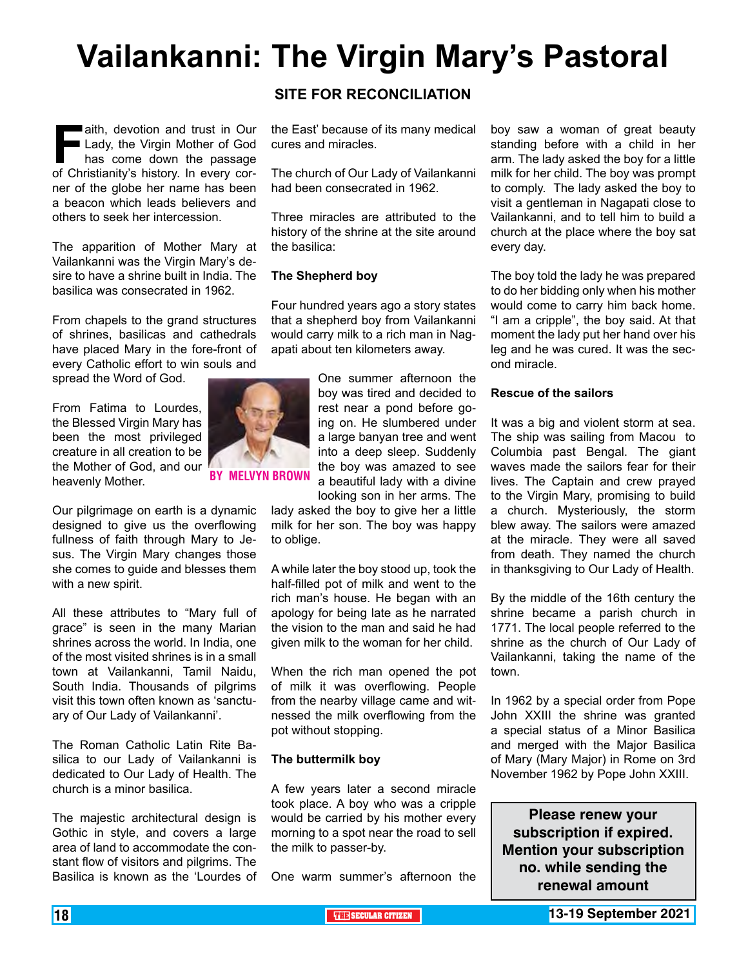# **Vailankanni: The Virgin Mary's Pastoral**

**Faith, devotion and trust in Our<br>
<b>Faith** Lady, the Virgin Mother of God<br>
has come down the passage<br>
of Christianity's history. In every cor-Lady, the Virgin Mother of God has come down the passage of Christianity's history. In every corner of the globe her name has been a beacon which leads believers and others to seek her intercession.

The apparition of Mother Mary at Vailankanni was the Virgin Mary's desire to have a shrine built in India. The basilica was consecrated in 1962.

From chapels to the grand structures of shrines, basilicas and cathedrals have placed Mary in the fore-front of every Catholic effort to win souls and

spread the Word of God.

From Fatima to Lourdes, the Blessed Virgin Mary has been the most privileged creature in all creation to be the Mother of God, and our heavenly Mother.

Our pilgrimage on earth is a dynamic designed to give us the overflowing fullness of faith through Mary to Jesus. The Virgin Mary changes those she comes to guide and blesses them with a new spirit.

All these attributes to "Mary full of grace" is seen in the many Marian shrines across the world. In India, one of the most visited shrines is in a small town at Vailankanni, Tamil Naidu, South India. Thousands of pilgrims visit this town often known as 'sanctuary of Our Lady of Vailankanni'.

The Roman Catholic Latin Rite Basilica to our Lady of Vailankanni is dedicated to Our Lady of Health. The church is a minor basilica.

The majestic architectural design is Gothic in style, and covers a large area of land to accommodate the constant flow of visitors and pilgrims. The Basilica is known as the 'Lourdes of

#### **SITE FOR RECONCILIATION**

the East' because of its many medical cures and miracles.

The church of Our Lady of Vailankanni had been consecrated in 1962.

Three miracles are attributed to the history of the shrine at the site around the basilica:

#### **The Shepherd boy**

By Melvyn Brown

Four hundred years ago a story states that a shepherd boy from Vailankanni would carry milk to a rich man in Nagapati about ten kilometers away.

> One summer afternoon the boy was tired and decided to rest near a pond before going on. He slumbered under a large banyan tree and went into a deep sleep. Suddenly the boy was amazed to see a beautiful lady with a divine looking son in her arms. The

lady asked the boy to give her a little milk for her son. The boy was happy to oblige.

A while later the boy stood up, took the half-filled pot of milk and went to the rich man's house. He began with an apology for being late as he narrated the vision to the man and said he had given milk to the woman for her child.

When the rich man opened the pot of milk it was overflowing. People from the nearby village came and witnessed the milk overflowing from the pot without stopping.

#### **The buttermilk boy**

A few years later a second miracle took place. A boy who was a cripple would be carried by his mother every morning to a spot near the road to sell the milk to passer-by.

One warm summer's afternoon the

boy saw a woman of great beauty standing before with a child in her arm. The lady asked the boy for a little milk for her child. The boy was prompt to comply. The lady asked the boy to visit a gentleman in Nagapati close to Vailankanni, and to tell him to build a church at the place where the boy sat every day.

The boy told the lady he was prepared to do her bidding only when his mother would come to carry him back home. "I am a cripple", the boy said. At that moment the lady put her hand over his leg and he was cured. It was the second miracle.

#### **Rescue of the sailors**

It was a big and violent storm at sea. The ship was sailing from Macou to Columbia past Bengal. The giant waves made the sailors fear for their lives. The Captain and crew prayed to the Virgin Mary, promising to build a church. Mysteriously, the storm blew away. The sailors were amazed at the miracle. They were all saved from death. They named the church in thanksgiving to Our Lady of Health.

By the middle of the 16th century the shrine became a parish church in 1771. The local people referred to the shrine as the church of Our Lady of Vailankanni, taking the name of the town.

In 1962 by a special order from Pope John XXIII the shrine was granted a special status of a Minor Basilica and merged with the Major Basilica of Mary (Mary Major) in Rome on 3rd November 1962 by Pope John XXIII.

**Please renew your subscription if expired. Mention your subscription no. while sending the renewal amount**

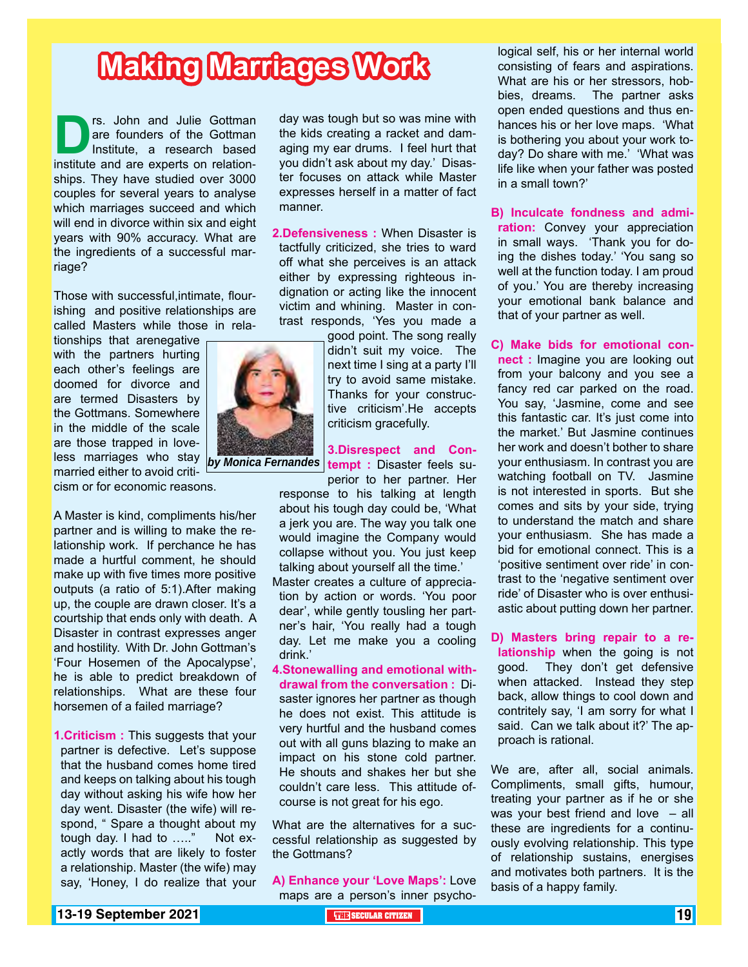# **Making Marriages Work**

**Drs.** John and Julie Gottman are founders of the Gottman Institute, a research based institute and are experts on relationare founders of the Gottman Institute, a research based ships. They have studied over 3000 couples for several years to analyse which marriages succeed and which will end in divorce within six and eight years with 90% accuracy. What are the ingredients of a successful marriage?

Those with successful,intimate, flourishing and positive relationships are called Masters while those in rela-

tionships that arenegative with the partners hurting each other's feelings are doomed for divorce and are termed Disasters by the Gottmans. Somewhere in the middle of the scale are those trapped in loveless marriages who stay married either to avoid criticism or for economic reasons.

A Master is kind, compliments his/her partner and is willing to make the relationship work. If perchance he has made a hurtful comment, he should make up with five times more positive outputs (a ratio of 5:1).After making up, the couple are drawn closer. It's a courtship that ends only with death. A Disaster in contrast expresses anger and hostility. With Dr. John Gottman's 'Four Hosemen of the Apocalypse', he is able to predict breakdown of relationships. What are these four horsemen of a failed marriage?

**1.Criticism : This suggests that your** partner is defective. Let's suppose that the husband comes home tired and keeps on talking about his tough day without asking his wife how her day went. Disaster (the wife) will respond, " Spare a thought about my tough day. I had to ....." Not exactly words that are likely to foster a relationship. Master (the wife) may say, 'Honey, I do realize that your day was tough but so was mine with the kids creating a racket and damaging my ear drums. I feel hurt that you didn't ask about my day.' Disaster focuses on attack while Master expresses herself in a matter of fact manner.

**2.Defensiveness :** When Disaster is tactfully criticized, she tries to ward off what she perceives is an attack either by expressing righteous indignation or acting like the innocent victim and whining. Master in contrast responds, 'Yes you made a

good point. The song really didn't suit my voice. The next time I sing at a party I'll try to avoid same mistake. Thanks for your constructive criticism'.He accepts criticism gracefully.

**3.Disrespect and Con***by Monica Fernandes* **| tempt : Disaster feels su-**

perior to her partner. Her response to his talking at length about his tough day could be, 'What a jerk you are. The way you talk one would imagine the Company would collapse without you. You just keep talking about yourself all the time.'

- Master creates a culture of appreciation by action or words. 'You poor dear', while gently tousling her partner's hair, 'You really had a tough day. Let me make you a cooling drink.'
- **4.Stonewalling and emotional withdrawal from the conversation :** Disaster ignores her partner as though he does not exist. This attitude is very hurtful and the husband comes out with all guns blazing to make an impact on his stone cold partner. He shouts and shakes her but she couldn't care less. This attitude ofcourse is not great for his ego.

What are the alternatives for a successful relationship as suggested by the Gottmans?

**A) Enhance your 'Love Maps':** Love maps are a person's inner psycho-

logical self, his or her internal world consisting of fears and aspirations. What are his or her stressors, hobbies, dreams. The partner asks open ended questions and thus enhances his or her love maps. 'What is bothering you about your work today? Do share with me.' 'What was life like when your father was posted in a small town?'

**B) Inculcate fondness and admiration:** Convey your appreciation in small ways. 'Thank you for doing the dishes today.' 'You sang so well at the function today. I am proud of you.' You are thereby increasing your emotional bank balance and that of your partner as well.

**C) Make bids for emotional connect :** Imagine you are looking out from your balcony and you see a fancy red car parked on the road. You say, 'Jasmine, come and see this fantastic car. It's just come into the market.' But Jasmine continues her work and doesn't bother to share your enthusiasm. In contrast you are watching football on TV. Jasmine is not interested in sports. But she comes and sits by your side, trying to understand the match and share your enthusiasm. She has made a bid for emotional connect. This is a 'positive sentiment over ride' in contrast to the 'negative sentiment over ride' of Disaster who is over enthusiastic about putting down her partner.

**D) Masters bring repair to a relationship** when the going is not good. They don't get defensive when attacked. Instead they step back, allow things to cool down and contritely say, 'I am sorry for what I said. Can we talk about it?' The approach is rational.

We are, after all, social animals. Compliments, small gifts, humour, treating your partner as if he or she was your best friend and love  $-$  all these are ingredients for a continuously evolving relationship. This type of relationship sustains, energises and motivates both partners. It is the basis of a happy family.